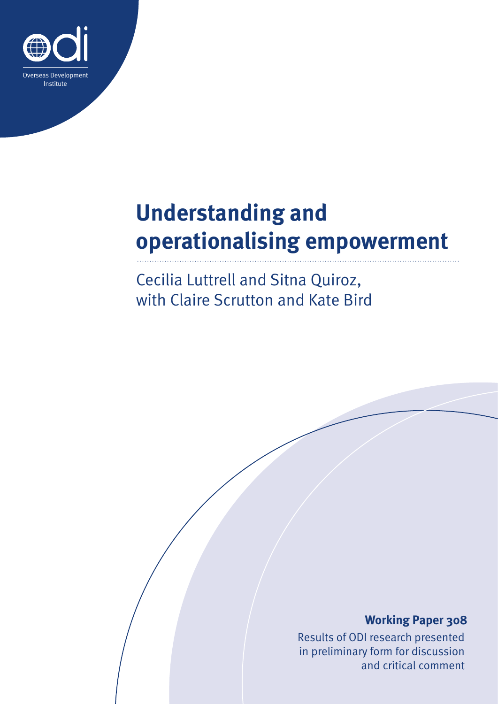

# **Understanding and operationalising empowerment**

Cecilia Luttrell and Sitna Quiroz, with Claire Scrutton and Kate Bird

### **Working Paper 308**

Results of ODI research presented in preliminary form for discussion and critical comment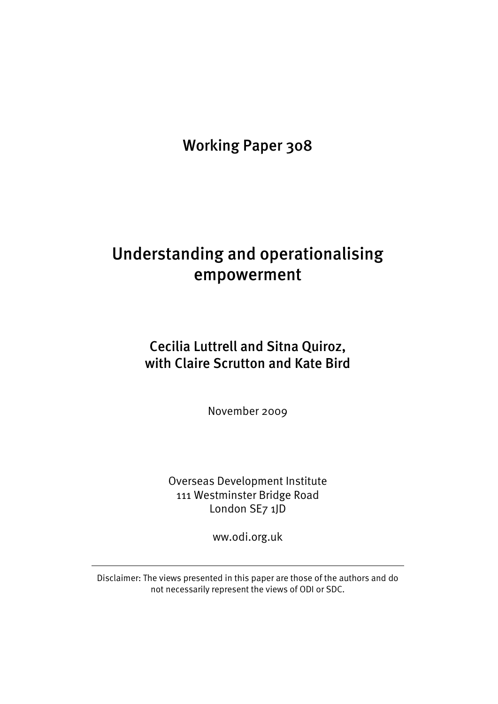Working Paper 308

## Understanding and operationalising empowerment

### Cecilia Luttrell and Sitna Quiroz, with Claire Scrutton and Kate Bird

November 2009

Overseas Development Institute 111 Westminster Bridge Road London SE7 1JD

ww.odi.org.uk

Disclaimer: The views presented in this paper are those of the authors and do not necessarily represent the views of ODI or SDC.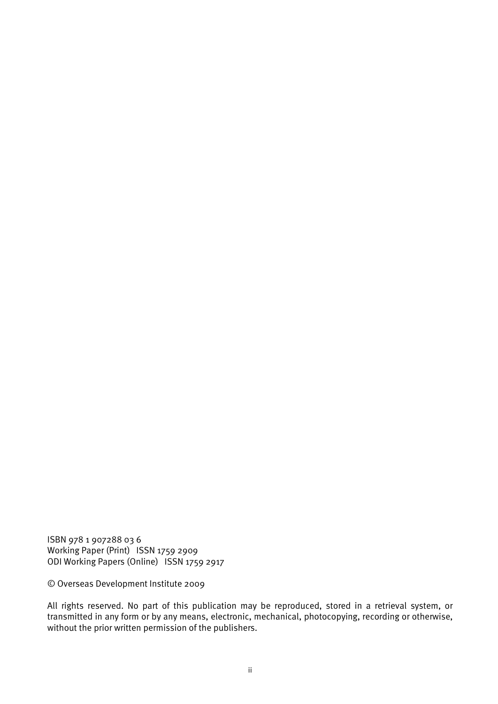ISBN 978 1 907288 03 6 Working Paper (Print) ISSN 1759 2909 ODI Working Papers (Online) ISSN 1759 2917

© Overseas Development Institute 2009

All rights reserved. No part of this publication may be reproduced, stored in a retrieval system, or transmitted in any form or by any means, electronic, mechanical, photocopying, recording or otherwise, without the prior written permission of the publishers.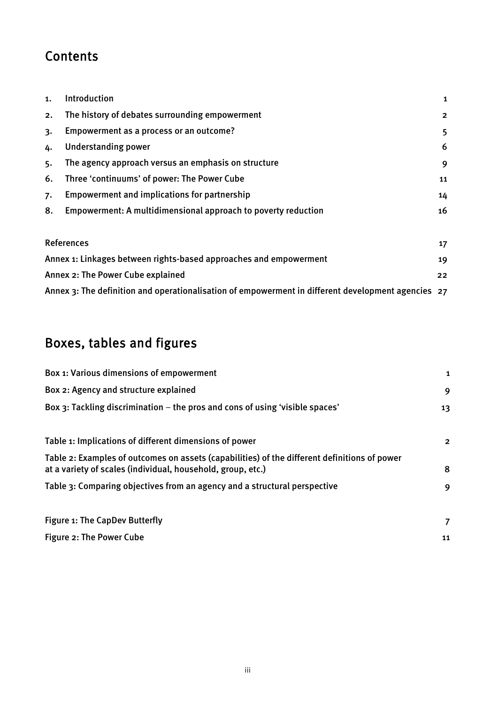### **Contents**

| 1. | Introduction                                                                                       | 1              |
|----|----------------------------------------------------------------------------------------------------|----------------|
| 2. | The history of debates surrounding empowerment                                                     | $\overline{2}$ |
| 3. | Empowerment as a process or an outcome?                                                            | 5              |
| 4. | <b>Understanding power</b>                                                                         | 6              |
| 5. | The agency approach versus an emphasis on structure                                                | 9              |
| 6. | Three 'continuums' of power: The Power Cube                                                        | 11             |
| 7. | <b>Empowerment and implications for partnership</b>                                                | 14             |
| 8. | Empowerment: A multidimensional approach to poverty reduction                                      | 16             |
|    | References                                                                                         | 17             |
|    | Annex 1: Linkages between rights-based approaches and empowerment                                  | 19             |
|    | Annex 2: The Power Cube explained                                                                  | 22             |
|    | Annex 3: The definition and operationalisation of empowerment in different development agencies 27 |                |

### Boxes, tables and figures

| Box 1: Various dimensions of empowerment                                                                                                                    | 1              |
|-------------------------------------------------------------------------------------------------------------------------------------------------------------|----------------|
| Box 2: Agency and structure explained                                                                                                                       | 9              |
| Box 3: Tackling discrimination – the pros and cons of using 'visible spaces'                                                                                | 13             |
| Table 1: Implications of different dimensions of power                                                                                                      | $\overline{2}$ |
| Table 2: Examples of outcomes on assets (capabilities) of the different definitions of power<br>at a variety of scales (individual, household, group, etc.) | 8              |
| Table 3: Comparing objectives from an agency and a structural perspective                                                                                   | 9              |
| Figure 1: The CapDev Butterfly                                                                                                                              | 7              |
| Figure 2: The Power Cube                                                                                                                                    | 11             |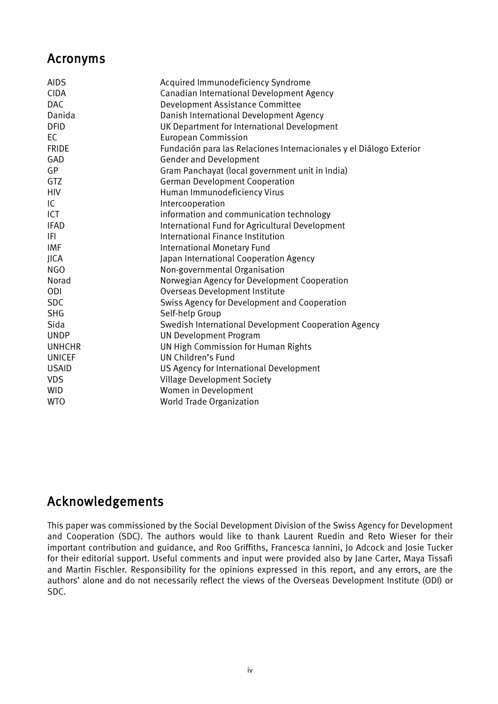### Acronyms

| <b>AIDS</b>   | Acquired Immunodeficiency Syndrome                                  |
|---------------|---------------------------------------------------------------------|
| <b>CIDA</b>   | Canadian International Development Agency                           |
| <b>DAC</b>    | Development Assistance Committee                                    |
| Danida        | Danish International Development Agency                             |
| <b>DFID</b>   | UK Department for International Development                         |
| <b>EC</b>     | <b>European Commission</b>                                          |
| <b>FRIDE</b>  | Fundación para las Relaciones Internacionales y el Diálogo Exterior |
| GAD           | <b>Gender and Development</b>                                       |
| GP            | Gram Panchayat (local government unit in India)                     |
| <b>GTZ</b>    | <b>German Development Cooperation</b>                               |
| <b>HIV</b>    | Human Immunodeficiency Virus                                        |
| IC            | Intercooperation                                                    |
| ICT           | information and communication technology                            |
| <b>IFAD</b>   | International Fund for Agricultural Development                     |
| IFI           | International Finance Institution                                   |
| <b>IMF</b>    | International Monetary Fund                                         |
| <b>JICA</b>   | Japan International Cooperation Agency                              |
| <b>NGO</b>    | Non-governmental Organisation                                       |
| Norad         | Norwegian Agency for Development Cooperation                        |
| ODI           | Overseas Development Institute                                      |
| <b>SDC</b>    | Swiss Agency for Development and Cooperation                        |
| <b>SHG</b>    | Self-help Group                                                     |
| Sida          | Swedish International Development Cooperation Agency                |
| <b>UNDP</b>   | <b>UN Development Program</b>                                       |
| <b>UNHCHR</b> | UN High Commission for Human Rights                                 |
| <b>UNICEF</b> | UN Children's Fund                                                  |
| <b>USAID</b>  | US Agency for International Development                             |
| <b>VDS</b>    | <b>Village Development Society</b>                                  |
| <b>WID</b>    | Women in Development                                                |
| <b>WTO</b>    | World Trade Organization                                            |
|               |                                                                     |

### Acknowledgements

This paper was commissioned by the Social Development Division of the Swiss Agency for Development and Cooperation (SDC). The authors would like to thank Laurent Ruedin and Reto Wieser for their important contribution and guidance, and Roo Griffiths, Francesca Iannini, Jo Adcock and Josie Tucker for their editorial support. Useful comments and input were provided also by Jane Carter, Maya Tissafi and Martin Fischler. Responsibility for the opinions expressed in this report, and any errors, are the authors' alone and do not necessarily reflect the views of the Overseas Development Institute (ODI) or SDC.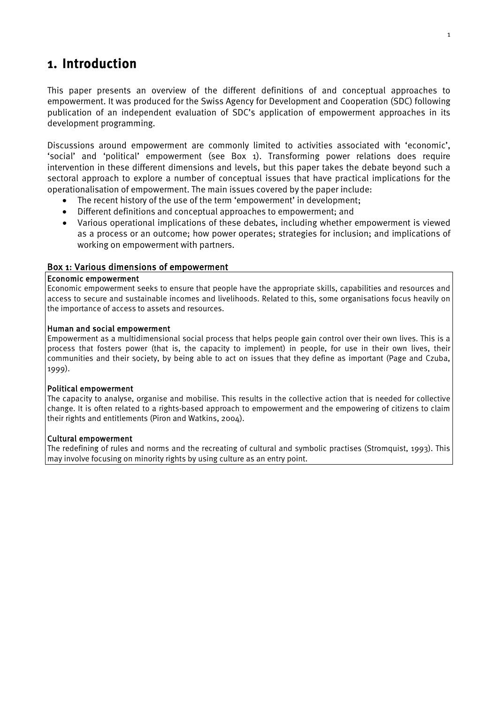### <span id="page-5-0"></span>1. Introduction

This paper presents an overview of the different definitions of and conceptual approaches to empowerment. It was produced for the Swiss Agency for Development and Cooperation (SDC) following publication of an independent evaluation of SDC's application of empowerment approaches in its development programming.

Discussions around empowerment are commonly limited to activities associated with 'economic', 'social' and 'political' empowerment (see Box 1). Transforming power relations does require intervention in these different dimensions and levels, but this paper takes the debate beyond such a sectoral approach to explore a number of conceptual issues that have practical implications for the operationalisation of empowerment. The main issues covered by the paper include:

- The recent history of the use of the term 'empowerment' in development;
- Different definitions and conceptual approaches to empowerment; and
- Various operational implications of these debates, including whether empowerment is viewed as a process or an outcome; how power operates; strategies for inclusion; and implications of working on empowerment with partners.

#### <span id="page-5-1"></span>Box 1: Various dimensions of empowerment

#### Economic empowerment

Economic empowerment seeks to ensure that people have the appropriate skills, capabilities and resources and access to secure and sustainable incomes and livelihoods. Related to this, some organisations focus heavily on the importance of access to assets and resources.

#### Human and social empowerment

Empowerment as a multidimensional social process that helps people gain control over their own lives. This is a process that fosters power (that is, the capacity to implement) in people, for use in their own lives, their communities and their society, by being able to act on issues that they define as important (Page and Czuba, 1999).

#### Political empowerment

The capacity to analyse, organise and mobilise. This results in the collective action that is needed for collective change. It is often related to a rights-based approach to empowerment and the empowering of citizens to claim their rights and entitlements (Piron and Watkins, 2004).

#### Cultural empowerment

The redefining of rules and norms and the recreating of cultural and symbolic practises (Stromquist, 1993). This may involve focusing on minority rights by using culture as an entry point.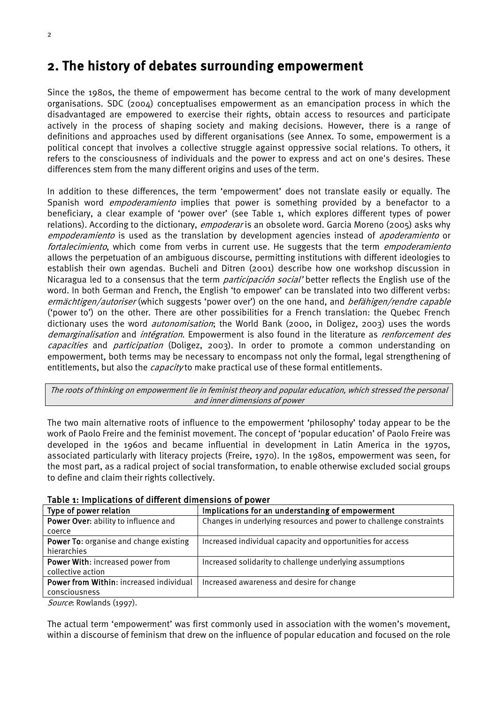### <span id="page-6-0"></span>2. The history of debates surrounding empowerment

Since the 1980s, the theme of empowerment has become central to the work of many development organisations. SDC (2004) conceptualises empowerment as an emancipation process in which the disadvantaged are empowered to exercise their rights, obtain access to resources and participate actively in the process of shaping society and making decisions. However, there is a range of definitions and approaches used by different organisations (see Annex. To some, empowerment is a political concept that involves a collective struggle against oppressive social relations. To others, it refers to the consciousness of individuals and the power to express and act on one's desires. These differences stem from the many different origins and uses of the term.

In addition to these differences, the term 'empowerment' does not translate easily or equally. The Spanish word *empoderamiento* implies that power is something provided by a benefactor to a beneficiary, a clear example of 'power over' (see Table 1, which explores different types of power relations). According to the dictionary, *empoderar* is an obsolete word. Garcia Moreno (2005) asks why empoderamiento is used as the translation by development agencies instead of *apoderamiento* or fortalecimiento, which come from verbs in current use. He suggests that the term *empoderamiento* allows the perpetuation of an ambiguous discourse, permitting institutions with different ideologies to establish their own agendas. Bucheli and Ditren (2001) describe how one workshop discussion in Nicaragua led to a consensus that the term *participación social'* better reflects the English use of the word. In both German and French, the English 'to empower' can be translated into two different verbs: ermächtigen/autoriser (which suggests 'power over') on the one hand, and befähigen/rendre capable ('power to') on the other. There are other possibilities for a French translation: the Quebec French dictionary uses the word *autonomisation*; the World Bank (2000, in Doligez, 2003) uses the words demarginalisation and intégration. Empowerment is also found in the literature as renforcement des capacities and participation (Doligez, 2003). In order to promote a common understanding on empowerment, both terms may be necessary to encompass not only the formal, legal strengthening of entitlements, but also the *capacity* to make practical use of these formal entitlements.

The roots of thinking on empowerment lie in feminist theory and popular education, which stressed the personal and inner dimensions of power

The two main alternative roots of influence to the empowerment 'philosophy' today appear to be the work of Paolo Freire and the feminist movement. The concept of 'popular education' of Paolo Freire was developed in the 1960s and became influential in development in Latin America in the 1970s, associated particularly with literacy projects (Freire, 1970). In the 1980s, empowerment was seen, for the most part, as a radical project of social transformation, to enable otherwise excluded social groups to define and claim their rights collectively.

| Type of power relation                  | Implications for an understanding of empowerment                   |  |  |  |  |
|-----------------------------------------|--------------------------------------------------------------------|--|--|--|--|
| Power Over: ability to influence and    | Changes in underlying resources and power to challenge constraints |  |  |  |  |
| coerce                                  |                                                                    |  |  |  |  |
| Power To: organise and change existing  | Increased individual capacity and opportunities for access         |  |  |  |  |
| hierarchies                             |                                                                    |  |  |  |  |
| Power With: increased power from        | Increased solidarity to challenge underlying assumptions           |  |  |  |  |
| collective action                       |                                                                    |  |  |  |  |
| Power from Within: increased individual | Increased awareness and desire for change                          |  |  |  |  |
| consciousness                           |                                                                    |  |  |  |  |

<span id="page-6-1"></span>Table 1: Implications of different dimensions of power

Source: Rowlands (1997).

The actual term 'empowerment' was first commonly used in association with the women's movement, within a discourse of feminism that drew on the influence of popular education and focused on the role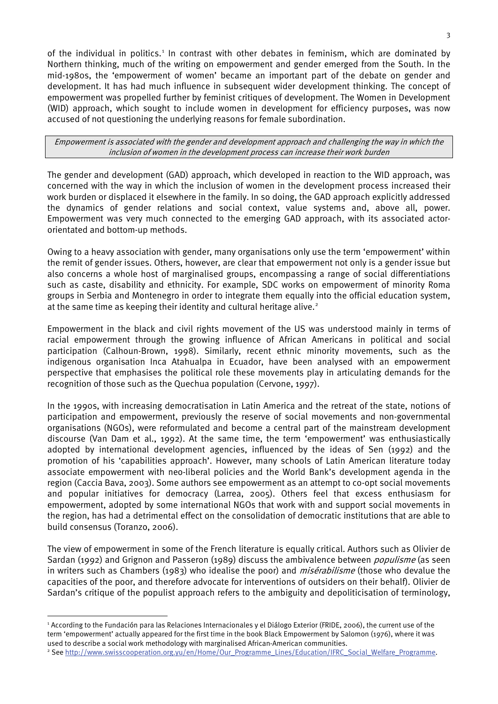of the individual in politics.<sup>[1](#page-7-0)</sup> In contrast with other debates in feminism, which are dominated by Northern thinking, much of the writing on empowerment and gender emerged from the South. In the mid-1980s, the 'empowerment of women' became an important part of the debate on gender and development. It has had much influence in subsequent wider development thinking. The concept of empowerment was propelled further by feminist critiques of development. The Women in Development (WID) approach, which sought to include women in development for efficiency purposes, was now accused of not questioning the underlying reasons for female subordination.

Empowerment is associated with the gender and development approach and challenging the way in which the inclusion of women in the development process can increase their work burden

The gender and development (GAD) approach, which developed in reaction to the WID approach, was concerned with the way in which the inclusion of women in the development process increased their work burden or displaced it elsewhere in the family. In so doing, the GAD approach explicitly addressed the dynamics of gender relations and social context, value systems and, above all, power. Empowerment was very much connected to the emerging GAD approach, with its associated actororientated and bottom-up methods.

Owing to a heavy association with gender, many organisations only use the term 'empowerment' within the remit of gender issues. Others, however, are clear that empowerment not only is a gender issue but also concerns a whole host of marginalised groups, encompassing a range of social differentiations such as caste, disability and ethnicity. For example, SDC works on empowerment of minority Roma groups in Serbia and Montenegro in order to integrate them equally into the official education system, at the same time as keeping their identity and cultural heritage alive.<sup>[2](#page-7-1)</sup>

Empowerment in the black and civil rights movement of the US was understood mainly in terms of racial empowerment through the growing influence of African Americans in political and social participation (Calhoun-Brown, 1998). Similarly, recent ethnic minority movements, such as the indigenous organisation Inca Atahualpa in Ecuador, have been analysed with an empowerment perspective that emphasises the political role these movements play in articulating demands for the recognition of those such as the Quechua population (Cervone, 1997).

In the 1990s, with increasing democratisation in Latin America and the retreat of the state, notions of participation and empowerment, previously the reserve of social movements and non-governmental organisations (NGOs), were reformulated and become a central part of the mainstream development discourse (Van Dam et al., 1992). At the same time, the term 'empowerment' was enthusiastically adopted by international development agencies, influenced by the ideas of Sen (1992) and the promotion of his 'capabilities approach'. However, many schools of Latin American literature today associate empowerment with neo-liberal policies and the World Bank's development agenda in the region (Caccia Bava, 2003). Some authors see empowerment as an attempt to co-opt social movements and popular initiatives for democracy (Larrea, 2005). Others feel that excess enthusiasm for empowerment, adopted by some international NGOs that work with and support social movements in the region, has had a detrimental effect on the consolidation of democratic institutions that are able to build consensus (Toranzo, 2006).

The view of empowerment in some of the French literature is equally critical. Authors such as Olivier de Sardan (1992) and Grignon and Passeron (1989) discuss the ambivalence between *populisme* (as seen in writers such as Chambers (1983) who idealise the poor) and *misérabilisme* (those who devalue the capacities of the poor, and therefore advocate for interventions of outsiders on their behalf). Olivier de Sardan's critique of the populist approach refers to the ambiguity and depoliticisation of terminology,

<span id="page-7-0"></span> <sup>1</sup> According to the Fundación para las Relaciones Internacionales y el Diálogo Exterior (FRIDE, 2006), the current use of the term 'empowerment' actually appeared for the first time in the book Black Empowerment by Salomon (1976), where it was used to describe a social work methodology with marginalised African-American communities.

<span id="page-7-1"></span><sup>2</sup> Se[e http://www.swisscooperation.org.yu/en/Home/Our\\_Programme\\_Lines/Education/IFRC\\_Social\\_Welfare\\_Programme.](http://www.swisscooperation.org.yu/en/Home/Our_Prog%0bramme_Lines/Education/IFRC_Social_Welfare_Programme)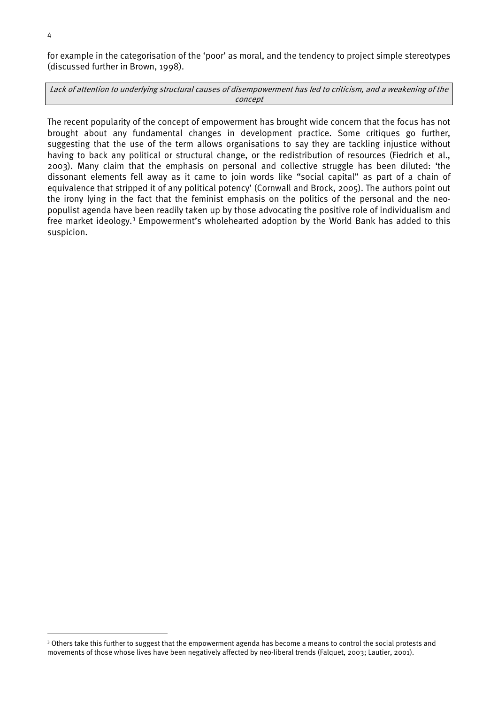for example in the categorisation of the 'poor' as moral, and the tendency to project simple stereotypes (discussed further in Brown, 1998).

Lack of attention to underlying structural causes of disempowerment has led to criticism, and a weakening of the concept

The recent popularity of the concept of empowerment has brought wide concern that the focus has not brought about any fundamental changes in development practice. Some critiques go further, suggesting that the use of the term allows organisations to say they are tackling injustice without having to back any political or structural change, or the redistribution of resources (Fiedrich et al., 2003). Many claim that the emphasis on personal and collective struggle has been diluted: 'the dissonant elements fell away as it came to join words like "social capital" as part of a chain of equivalence that stripped it of any political potency' (Cornwall and Brock, 2005). The authors point out the irony lying in the fact that the feminist emphasis on the politics of the personal and the neopopulist agenda have been readily taken up by those advocating the positive role of individualism and free market ideology.<sup>[3](#page-8-0)</sup> Empowerment's wholehearted adoption by the World Bank has added to this suspicion.

<span id="page-8-0"></span><sup>&</sup>lt;sup>3</sup> Others take this further to suggest that the empowerment agenda has become a means to control the social protests and movements of those whose lives have been negatively affected by neo-liberal trends (Falquet, 2003; Lautier, 2001).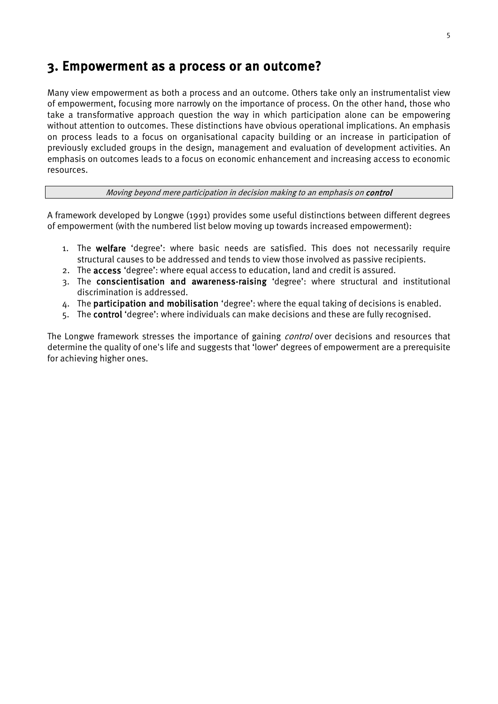### <span id="page-9-0"></span>3. Empowerment as a process or an outcome?

Many view empowerment as both a process and an outcome. Others take only an instrumentalist view of empowerment, focusing more narrowly on the importance of process. On the other hand, those who take a transformative approach question the way in which participation alone can be empowering without attention to outcomes. These distinctions have obvious operational implications. An emphasis on process leads to a focus on organisational capacity building or an increase in participation of previously excluded groups in the design, management and evaluation of development activities. An emphasis on outcomes leads to a focus on economic enhancement and increasing access to economic resources.

#### Moving beyond mere participation in decision making to an emphasis on **control**

A framework developed by Longwe (1991) provides some useful distinctions between different degrees of empowerment (with the numbered list below moving up towards increased empowerment):

- 1. The welfare 'degree': where basic needs are satisfied. This does not necessarily require structural causes to be addressed and tends to view those involved as passive recipients.
- 2. The access 'degree': where equal access to education, land and credit is assured.
- 3. The conscientisation and awareness-raising 'degree': where structural and institutional discrimination is addressed.
- 4. The participation and mobilisation 'degree': where the equal taking of decisions is enabled.
- 5. The control 'degree': where individuals can make decisions and these are fully recognised.

The Longwe framework stresses the importance of gaining *control* over decisions and resources that determine the quality of one's life and suggests that 'lower' degrees of empowerment are a prerequisite for achieving higher ones.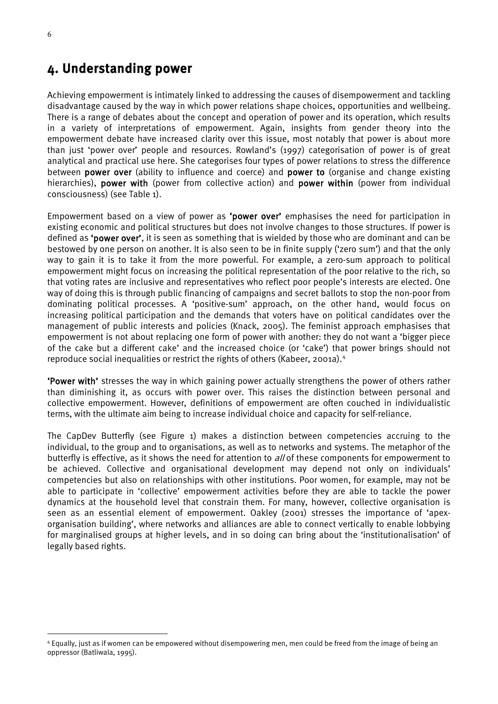### <span id="page-10-0"></span>4. Understanding power

Achieving empowerment is intimately linked to addressing the causes of disempowerment and tackling disadvantage caused by the way in which power relations shape choices, opportunities and wellbeing. There is a range of debates about the concept and operation of power and its operation, which results in a variety of interpretations of empowerment. Again, insights from gender theory into the empowerment debate have increased clarity over this issue, most notably that power is about more than just 'power over' people and resources. Rowland's (1997) categorisation of power is of great analytical and practical use here. She categorises four types of power relations to stress the difference between power over (ability to influence and coerce) and power to (organise and change existing hierarchies), power with (power from collective action) and power within (power from individual consciousness) (see Table 1).

Empowerment based on a view of power as 'power over' emphasises the need for participation in existing economic and political structures but does not involve changes to those structures. If power is defined as 'power over', it is seen as something that is wielded by those who are dominant and can be bestowed by one person on another. It is also seen to be in finite supply ('zero sum') and that the only way to gain it is to take it from the more powerful. For example, a zero-sum approach to political empowerment might focus on increasing the political representation of the poor relative to the rich, so that voting rates are inclusive and representatives who reflect poor people's interests are elected. One way of doing this is through public financing of campaigns and secret ballots to stop the non-poor from dominating political processes. A 'positive-sum' approach, on the other hand, would focus on increasing political participation and the demands that voters have on political candidates over the management of public interests and policies (Knack, 2005). The feminist approach emphasises that empowerment is not about replacing one form of power with another: they do not want a 'bigger piece of the cake but a different cake' and the increased choice (or 'cake') that power brings should not reproduce social inequalities or restrict the rights of others (Kabeer, 2001a).<sup>[4](#page-10-1)</sup>

'Power with' stresses the way in which gaining power actually strengthens the power of others rather than diminishing it, as occurs with power over. This raises the distinction between personal and collective empowerment. However, definitions of empowerment are often couched in individualistic terms, with the ultimate aim being to increase individual choice and capacity for self-reliance.

The CapDev Butterfly (see Figure 1) makes a distinction between competencies accruing to the individual, to the group and to organisations, as well as to networks and systems. The metaphor of the butterfly is effective, as it shows the need for attention to *all* of these components for empowerment to be achieved. Collective and organisational development may depend not only on individuals' competencies but also on relationships with other institutions. Poor women, for example, may not be able to participate in 'collective' empowerment activities before they are able to tackle the power dynamics at the household level that constrain them. For many, however, collective organisation is seen as an essential element of empowerment. Oakley (2001) stresses the importance of 'apexorganisation building', where networks and alliances are able to connect vertically to enable lobbying for marginalised groups at higher levels, and in so doing can bring about the 'institutionalisation' of legally based rights.

<span id="page-10-1"></span> <sup>4</sup> Equally, just as if women can be empowered without disempowering men, men could be freed from the image of being an oppressor (Batliwala, 1995).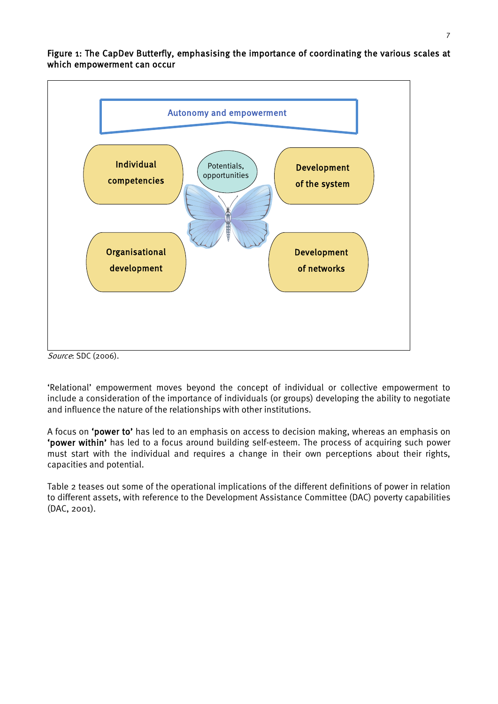<span id="page-11-0"></span>Figure 1: The CapDev Butterfly, emphasising the importance of coordinating the various scales at which empowerment can occur



Source: SDC (2006).

'Relational' empowerment moves beyond the concept of individual or collective empowerment to include a consideration of the importance of individuals (or groups) developing the ability to negotiate and influence the nature of the relationships with other institutions.

A focus on 'power to' has led to an emphasis on access to decision making, whereas an emphasis on 'power within' has led to a focus around building self-esteem. The process of acquiring such power must start with the individual and requires a change in their own perceptions about their rights, capacities and potential.

Table 2 teases out some of the operational implications of the different definitions of power in relation to different assets, with reference to the Development Assistance Committee (DAC) poverty capabilities (DAC, 2001).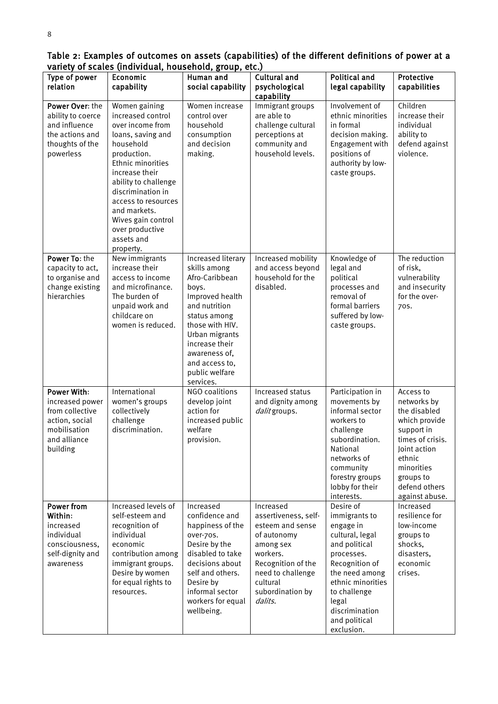| variety or scales (individual, nousenold, group, etc.)                                                                 |                                                                                                                                                                                                                                                                                                        |                                                                                                                                                                                                                                            |                                                                                                                                                                                     |                                                                                                                                                                                                                              |                                                                                                                                                                                     |  |
|------------------------------------------------------------------------------------------------------------------------|--------------------------------------------------------------------------------------------------------------------------------------------------------------------------------------------------------------------------------------------------------------------------------------------------------|--------------------------------------------------------------------------------------------------------------------------------------------------------------------------------------------------------------------------------------------|-------------------------------------------------------------------------------------------------------------------------------------------------------------------------------------|------------------------------------------------------------------------------------------------------------------------------------------------------------------------------------------------------------------------------|-------------------------------------------------------------------------------------------------------------------------------------------------------------------------------------|--|
| Type of power<br>relation                                                                                              | Economic<br>Human and<br>capability<br>social capability                                                                                                                                                                                                                                               |                                                                                                                                                                                                                                            | <b>Cultural and</b><br>psychological<br>capability                                                                                                                                  | <b>Political and</b><br>legal capability                                                                                                                                                                                     | Protective<br>capabilities                                                                                                                                                          |  |
| Power Over: the<br>ability to coerce<br>and influence<br>the actions and<br>thoughts of the<br>powerless               | Women gaining<br>increased control<br>over income from<br>loans, saving and<br>household<br>production.<br>Ethnic minorities<br>increase their<br>ability to challenge<br>discrimination in<br>access to resources<br>and markets.<br>Wives gain control<br>over productive<br>assets and<br>property. | Women increase<br>control over<br>household<br>consumption<br>and decision<br>making.                                                                                                                                                      | Immigrant groups<br>are able to<br>challenge cultural<br>perceptions at<br>community and<br>household levels.                                                                       | Involvement of<br>ethnic minorities<br>in formal<br>decision making.<br>Engagement with<br>positions of<br>authority by low-<br>caste groups.                                                                                | Children<br>increase their<br>individual<br>ability to<br>defend against<br>violence.                                                                                               |  |
| Power To: the<br>capacity to act,<br>to organise and<br>change existing<br>hierarchies                                 | New immigrants<br>increase their<br>access to income<br>and microfinance.<br>The burden of<br>unpaid work and<br>childcare on<br>women is reduced.                                                                                                                                                     | Increased literary<br>skills among<br>Afro-Caribbean<br>boys.<br>Improved health<br>and nutrition<br>status among<br>those with HIV.<br>Urban migrants<br>increase their<br>awareness of,<br>and access to,<br>public welfare<br>services. | Increased mobility<br>and access beyond<br>household for the<br>disabled.                                                                                                           | Knowledge of<br>legal and<br>political<br>processes and<br>removal of<br>formal barriers<br>suffered by low-<br>caste groups.                                                                                                | The reduction<br>of risk,<br>vulnerability<br>and insecurity<br>for the over-<br>70S.                                                                                               |  |
| <b>Power With:</b><br>increased power<br>from collective<br>action, social<br>mobilisation<br>and alliance<br>building | International<br>women's groups<br>collectively<br>challenge<br>discrimination.                                                                                                                                                                                                                        | NGO coalitions<br>develop joint<br>action for<br>increased public<br>welfare<br>provision.                                                                                                                                                 | Increased status<br>and dignity among<br>dalit groups.                                                                                                                              | Participation in<br>movements by<br>informal sector<br>workers to<br>challenge<br>subordination.<br>National<br>networks of<br>community<br>forestry groups<br>lobby for their<br>interests.                                 | Access to<br>networks by<br>the disabled<br>which provide<br>support in<br>times of crisis.<br>Joint action<br>ethnic<br>minorities<br>groups to<br>defend others<br>against abuse. |  |
| <b>Power from</b><br>Within:<br>increased<br>individual<br>consciousness,<br>self-dignity and<br>awareness             | Increased levels of<br>self-esteem and<br>recognition of<br>individual<br>economic<br>contribution among<br>immigrant groups.<br>Desire by women<br>for equal rights to<br>resources.                                                                                                                  | Increased<br>confidence and<br>happiness of the<br>over-70s.<br>Desire by the<br>disabled to take<br>decisions about<br>self and others.<br>Desire by<br>informal sector<br>workers for equal<br>wellbeing.                                | Increased<br>assertiveness, self-<br>esteem and sense<br>of autonomy<br>among sex<br>workers.<br>Recognition of the<br>need to challenge<br>cultural<br>subordination by<br>dalits. | Desire of<br>immigrants to<br>engage in<br>cultural, legal<br>and political<br>processes.<br>Recognition of<br>the need among<br>ethnic minorities<br>to challenge<br>legal<br>discrimination<br>and political<br>exclusion. | Increased<br>resilience for<br>low-income<br>groups to<br>shocks,<br>disasters,<br>economic<br>crises.                                                                              |  |

<span id="page-12-0"></span>Table 2: Examples of outcomes on assets (capabilities) of the different definitions of power at a variety of scales (individual, household, group, etc.)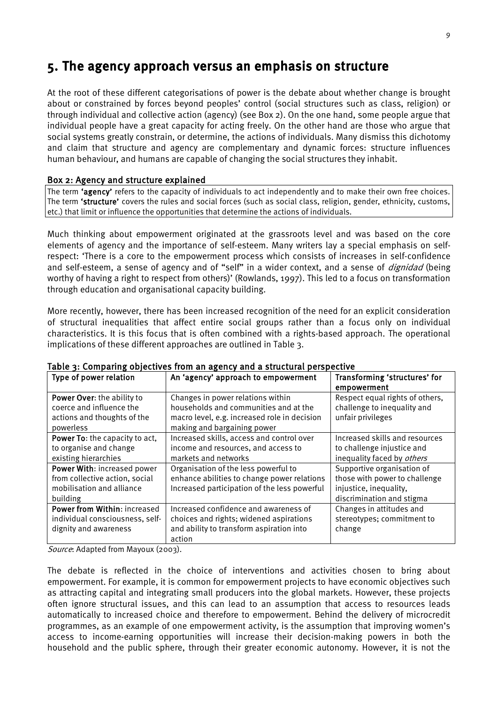### <span id="page-13-0"></span>5. The agency approach versus an emphasis on structure

At the root of these different categorisations of power is the debate about whether change is brought about or constrained by forces beyond peoples' control (social structures such as class, religion) or through individual and collective action (agency) (see Box 2). On the one hand, some people argue that individual people have a great capacity for acting freely. On the other hand are those who argue that social systems greatly constrain, or determine, the actions of individuals. Many dismiss this dichotomy and claim that structure and agency are complementary and dynamic forces: structure influences human behaviour, and humans are capable of changing the social structures they inhabit.

#### <span id="page-13-1"></span>Box 2: Agency and structure explained

The term 'agency' refers to the capacity of individuals to act independently and to make their own free choices. The term 'structure' covers the rules and social forces (such as social class, religion, gender, ethnicity, customs, etc.) that limit or influence the opportunities that determine the actions of individuals.

Much thinking about empowerment originated at the grassroots level and was based on the core elements of agency and the importance of self-esteem. Many writers lay a special emphasis on selfrespect: 'There is a core to the empowerment process which consists of increases in self-confidence and self-esteem, a sense of agency and of "self" in a wider context, and a sense of *dignidad* (being worthy of having a right to respect from others)' (Rowlands, 1997). This led to a focus on transformation through education and organisational capacity building.

More recently, however, there has been increased recognition of the need for an explicit consideration of structural inequalities that affect entire social groups rather than a focus only on individual characteristics. It is this focus that is often combined with a rights-based approach. The operational implications of these different approaches are outlined in Table 3.

| Type of power relation                                                                                 | An 'agency' approach to empowerment                                                                                                                       | Transforming 'structures' for<br>empowerment                                                                       |
|--------------------------------------------------------------------------------------------------------|-----------------------------------------------------------------------------------------------------------------------------------------------------------|--------------------------------------------------------------------------------------------------------------------|
| Power Over: the ability to<br>coerce and influence the<br>actions and thoughts of the<br>powerless     | Changes in power relations within<br>households and communities and at the<br>macro level, e.g. increased role in decision<br>making and bargaining power | Respect equal rights of others,<br>challenge to inequality and<br>unfair privileges                                |
| Power To: the capacity to act,<br>to organise and change<br>existing hierarchies                       | Increased skills, access and control over<br>income and resources, and access to<br>markets and networks                                                  | Increased skills and resources<br>to challenge injustice and<br>inequality faced by others                         |
| Power With: increased power<br>from collective action, social<br>mobilisation and alliance<br>building | Organisation of the less powerful to<br>enhance abilities to change power relations<br>Increased participation of the less powerful                       | Supportive organisation of<br>those with power to challenge<br>injustice, inequality,<br>discrimination and stigma |
| Power from Within: increased<br>individual consciousness, self-<br>dignity and awareness               | Increased confidence and awareness of<br>choices and rights; widened aspirations<br>and ability to transform aspiration into<br>action                    | Changes in attitudes and<br>stereotypes; commitment to<br>change                                                   |

#### <span id="page-13-2"></span>Table 3: Comparing objectives from an agency and a structural perspective

Source: Adapted from Mayoux (2003).

The debate is reflected in the choice of interventions and activities chosen to bring about empowerment. For example, it is common for empowerment projects to have economic objectives such as attracting capital and integrating small producers into the global markets. However, these projects often ignore structural issues, and this can lead to an assumption that access to resources leads automatically to increased choice and therefore to empowerment. Behind the delivery of microcredit programmes, as an example of one empowerment activity, is the assumption that improving women's access to income-earning opportunities will increase their decision-making powers in both the household and the public sphere, through their greater economic autonomy. However, it is not the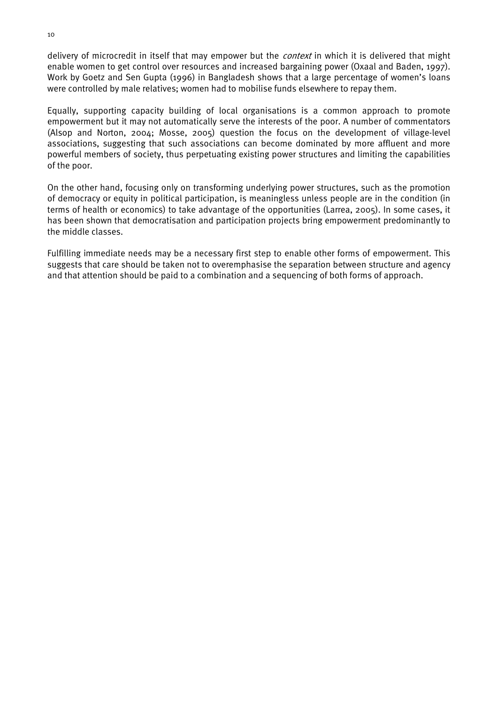delivery of microcredit in itself that may empower but the *context* in which it is delivered that might enable women to get control over resources and increased bargaining power (Oxaal and Baden, 1997). Work by Goetz and Sen Gupta (1996) in Bangladesh shows that a large percentage of women's loans were controlled by male relatives; women had to mobilise funds elsewhere to repay them.

Equally, supporting capacity building of local organisations is a common approach to promote empowerment but it may not automatically serve the interests of the poor. A number of commentators (Alsop and Norton, 2004; Mosse, 2005) question the focus on the development of village-level associations, suggesting that such associations can become dominated by more affluent and more powerful members of society, thus perpetuating existing power structures and limiting the capabilities of the poor.

On the other hand, focusing only on transforming underlying power structures, such as the promotion of democracy or equity in political participation, is meaningless unless people are in the condition (in terms of health or economics) to take advantage of the opportunities (Larrea, 2005). In some cases, it has been shown that democratisation and participation projects bring empowerment predominantly to the middle classes.

Fulfilling immediate needs may be a necessary first step to enable other forms of empowerment. This suggests that care should be taken not to overemphasise the separation between structure and agency and that attention should be paid to a combination and a sequencing of both forms of approach.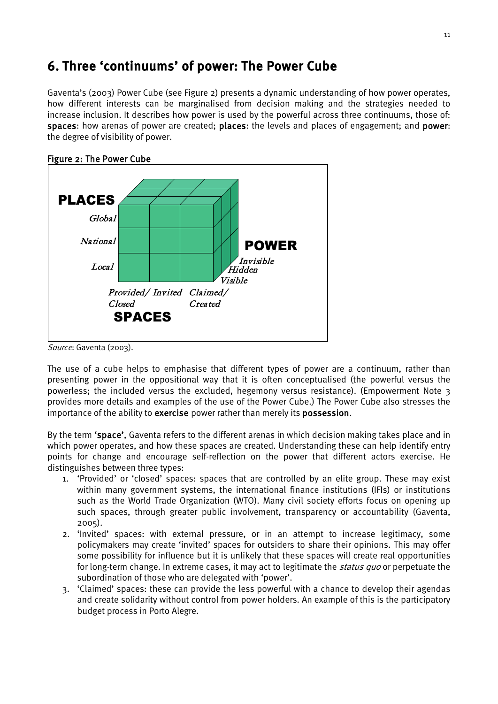### <span id="page-15-0"></span>6. Three 'continuums' of power: The Power Cube

Gaventa's (2003) Power Cube (see Figure 2) presents a dynamic understanding of how power operates, how different interests can be marginalised from decision making and the strategies needed to increase inclusion. It describes how power is used by the powerful across three continuums, those of: spaces: how arenas of power are created; places: the levels and places of engagement; and power: the degree of visibility of power.



### <span id="page-15-1"></span>Figure 2: The Power Cube

Source: Gaventa (2003).

The use of a cube helps to emphasise that different types of power are a continuum, rather than presenting power in the oppositional way that it is often conceptualised (the powerful versus the powerless; the included versus the excluded, hegemony versus resistance). (Empowerment Note 3 provides more details and examples of the use of the Power Cube.) The Power Cube also stresses the importance of the ability to exercise power rather than merely its possession.

By the term 'space', Gaventa refers to the different arenas in which decision making takes place and in which power operates, and how these spaces are created. Understanding these can help identify entry points for change and encourage self-reflection on the power that different actors exercise. He distinguishes between three types:

- 1. 'Provided' or 'closed' spaces: spaces that are controlled by an elite group. These may exist within many government systems, the international finance institutions (IFIs) or institutions such as the World Trade Organization (WTO). Many civil society efforts focus on opening up such spaces, through greater public involvement, transparency or accountability (Gaventa, 2005).
- 2. 'Invited' spaces: with external pressure, or in an attempt to increase legitimacy, some policymakers may create 'invited' spaces for outsiders to share their opinions. This may offer some possibility for influence but it is unlikely that these spaces will create real opportunities for long-term change. In extreme cases, it may act to legitimate the *status quo* or perpetuate the subordination of those who are delegated with 'power'.
- 3. 'Claimed' spaces: these can provide the less powerful with a chance to develop their agendas and create solidarity without control from power holders. An example of this is the participatory budget process in Porto Alegre.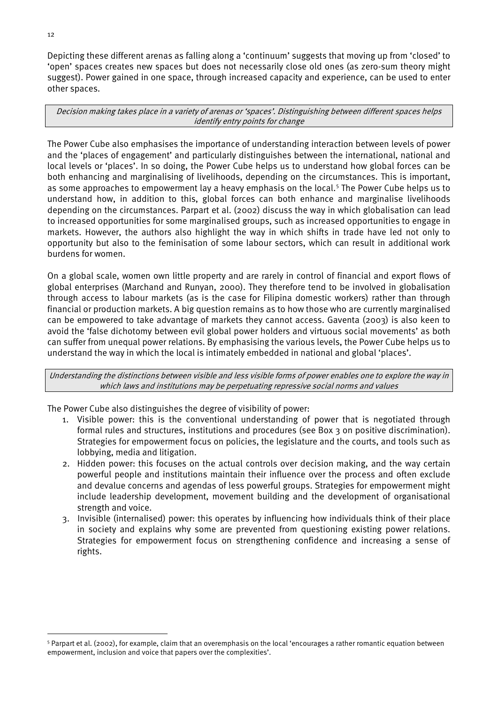Depicting these different arenas as falling along a 'continuum' suggests that moving up from 'closed' to 'open' spaces creates new spaces but does not necessarily close old ones (as zero-sum theory might suggest). Power gained in one space, through increased capacity and experience, can be used to enter other spaces.

Decision making takes place in a variety of arenas or 'spaces'. Distinguishing between different spaces helps identify entry points for change

The Power Cube also emphasises the importance of understanding interaction between levels of power and the 'places of engagement' and particularly distinguishes between the international, national and local levels or 'places'. In so doing, the Power Cube helps us to understand how global forces can be both enhancing and marginalising of livelihoods, depending on the circumstances. This is important, as some approaches to empowerment lay a heavy emphasis on the local. [5](#page-16-0) The Power Cube helps us to understand how, in addition to this, global forces can both enhance and marginalise livelihoods depending on the circumstances. Parpart et al. (2002) discuss the way in which globalisation can lead to increased opportunities for some marginalised groups, such as increased opportunities to engage in markets. However, the authors also highlight the way in which shifts in trade have led not only to opportunity but also to the feminisation of some labour sectors, which can result in additional work burdens for women.

On a global scale, women own little property and are rarely in control of financial and export flows of global enterprises (Marchand and Runyan, 2000). They therefore tend to be involved in globalisation through access to labour markets (as is the case for Filipina domestic workers) rather than through financial or production markets. A big question remains as to how those who are currently marginalised can be empowered to take advantage of markets they cannot access. Gaventa (2003) is also keen to avoid the 'false dichotomy between evil global power holders and virtuous social movements' as both can suffer from unequal power relations. By emphasising the various levels, the Power Cube helps us to understand the way in which the local is intimately embedded in national and global 'places'.

Understanding the distinctions between visible and less visible forms of power enables one to explore the way in which laws and institutions may be perpetuating repressive social norms and values

The Power Cube also distinguishes the degree of visibility of power:

- 1. Visible power: this is the conventional understanding of power that is negotiated through formal rules and structures, institutions and procedures (see Box 3 on positive discrimination). Strategies for empowerment focus on policies, the legislature and the courts, and tools such as lobbying, media and litigation.
- 2. Hidden power: this focuses on the actual controls over decision making, and the way certain powerful people and institutions maintain their influence over the process and often exclude and devalue concerns and agendas of less powerful groups. Strategies for empowerment might include leadership development, movement building and the development of organisational strength and voice.
- 3. Invisible (internalised) power: this operates by influencing how individuals think of their place in society and explains why some are prevented from questioning existing power relations. Strategies for empowerment focus on strengthening confidence and increasing a sense of rights.

<span id="page-16-0"></span> <sup>5</sup> Parpart et al. (2002), for example, claim that an overemphasis on the local 'encourages a rather romantic equation between empowerment, inclusion and voice that papers over the complexities'.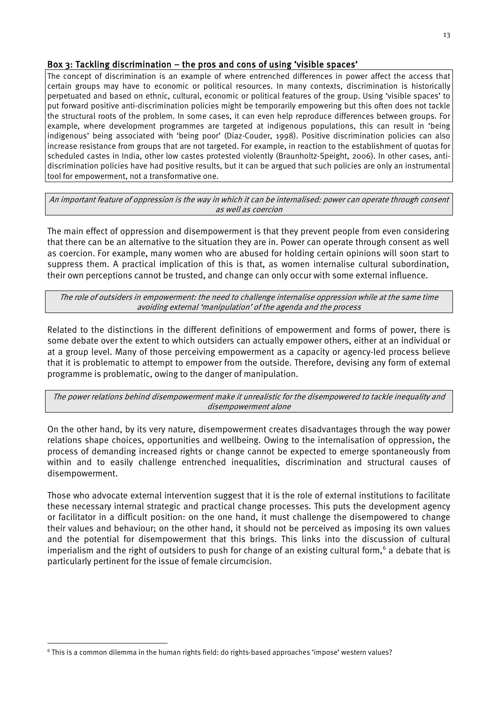### <span id="page-17-0"></span>Box 3: Tackling discrimination – the pros and cons of using 'visible spaces'

The concept of discrimination is an example of where entrenched differences in power affect the access that certain groups may have to economic or political resources. In many contexts, discrimination is historically perpetuated and based on ethnic, cultural, economic or political features of the group. Using 'visible spaces' to put forward positive anti-discrimination policies might be temporarily empowering but this often does not tackle the structural roots of the problem. In some cases, it can even help reproduce differences between groups. For example, where development programmes are targeted at indigenous populations, this can result in 'being indigenous' being associated with 'being poor' (Diaz-Couder, 1998). Positive discrimination policies can also increase resistance from groups that are not targeted. For example, in reaction to the establishment of quotas for scheduled castes in India, other low castes protested violently (Braunholtz-Speight, 2006). In other cases, antidiscrimination policies have had positive results, but it can be argued that such policies are only an instrumental tool for empowerment, not a transformative one.

An important feature of oppression is the way in which it can be internalised: power can operate through consent as well as coercion

The main effect of oppression and disempowerment is that they prevent people from even considering that there can be an alternative to the situation they are in. Power can operate through consent as well as coercion. For example, many women who are abused for holding certain opinions will soon start to suppress them. A practical implication of this is that, as women internalise cultural subordination, their own perceptions cannot be trusted, and change can only occur with some external influence.

The role of outsiders in empowerment: the need to challenge internalise oppression while at the same time avoiding external 'manipulation' of the agenda and the process

Related to the distinctions in the different definitions of empowerment and forms of power, there is some debate over the extent to which outsiders can actually empower others, either at an individual or at a group level. Many of those perceiving empowerment as a capacity or agency-led process believe that it is problematic to attempt to empower from the outside. Therefore, devising any form of external programme is problematic, owing to the danger of manipulation.

The power relations behind disempowerment make it unrealistic for the disempowered to tackle inequality and disempowerment alone

On the other hand, by its very nature, disempowerment creates disadvantages through the way power relations shape choices, opportunities and wellbeing. Owing to the internalisation of oppression, the process of demanding increased rights or change cannot be expected to emerge spontaneously from within and to easily challenge entrenched inequalities, discrimination and structural causes of disempowerment.

Those who advocate external intervention suggest that it is the role of external institutions to facilitate these necessary internal strategic and practical change processes. This puts the development agency or facilitator in a difficult position: on the one hand, it must challenge the disempowered to change their values and behaviour; on the other hand, it should not be perceived as imposing its own values and the potential for disempowerment that this brings. This links into the discussion of cultural imperialism and the right of outsiders to push for change of an existing cultural form,<sup>[6](#page-17-1)</sup> a debate that is particularly pertinent for the issue of female circumcision.

<span id="page-17-1"></span> <sup>6</sup> This is a common dilemma in the human rights field: do rights-based approaches 'impose' western values?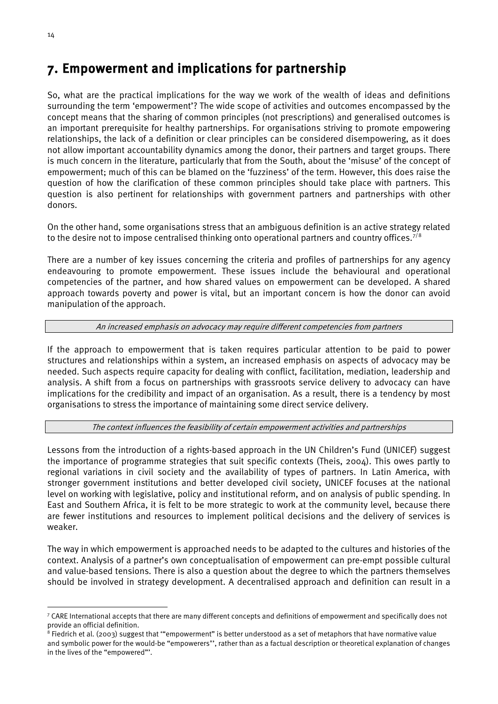### <span id="page-18-0"></span>7. Empowerment and implications for partnership

So, what are the practical implications for the way we work of the wealth of ideas and definitions surrounding the term 'empowerment'? The wide scope of activities and outcomes encompassed by the concept means that the sharing of common principles (not prescriptions) and generalised outcomes is an important prerequisite for healthy partnerships. For organisations striving to promote empowering relationships, the lack of a definition or clear principles can be considered disempowering, as it does not allow important accountability dynamics among the donor, their partners and target groups. There is much concern in the literature, particularly that from the South, about the 'misuse' of the concept of empowerment; much of this can be blamed on the 'fuzziness' of the term. However, this does raise the question of how the clarification of these common principles should take place with partners. This question is also pertinent for relationships with government partners and partnerships with other donors.

On the other hand, some organisations stress that an ambiguous definition is an active strategy related to the desire not to impose centralised thinking onto operational partners and country offices.<sup>[7](#page-18-1)/[8](#page-18-2)</sup>

There are a number of key issues concerning the criteria and profiles of partnerships for any agency endeavouring to promote empowerment. These issues include the behavioural and operational competencies of the partner, and how shared values on empowerment can be developed. A shared approach towards poverty and power is vital, but an important concern is how the donor can avoid manipulation of the approach.

#### An increased emphasis on advocacy may require different competencies from partners

If the approach to empowerment that is taken requires particular attention to be paid to power structures and relationships within a system, an increased emphasis on aspects of advocacy may be needed. Such aspects require capacity for dealing with conflict, facilitation, mediation, leadership and analysis. A shift from a focus on partnerships with grassroots service delivery to advocacy can have implications for the credibility and impact of an organisation. As a result, there is a tendency by most organisations to stress the importance of maintaining some direct service delivery.

#### The context influences the feasibility of certain empowerment activities and partnerships

Lessons from the introduction of a rights-based approach in the UN Children's Fund (UNICEF) suggest the importance of programme strategies that suit specific contexts (Theis, 2004). This owes partly to regional variations in civil society and the availability of types of partners. In Latin America, with stronger government institutions and better developed civil society, UNICEF focuses at the national level on working with legislative, policy and institutional reform, and on analysis of public spending. In East and Southern Africa, it is felt to be more strategic to work at the community level, because there are fewer institutions and resources to implement political decisions and the delivery of services is weaker.

The way in which empowerment is approached needs to be adapted to the cultures and histories of the context. Analysis of a partner's own conceptualisation of empowerment can pre-empt possible cultural and value-based tensions. There is also a question about the degree to which the partners themselves should be involved in strategy development. A decentralised approach and definition can result in a

<span id="page-18-1"></span> <sup>7</sup> CARE International accepts that there are many different concepts and definitions of empowerment and specifically does not provide an official definition.

<span id="page-18-2"></span> $8$  Fiedrich et al. (2003) suggest that ""empowerment" is better understood as a set of metaphors that have normative value and symbolic power for the would-be "empowerers"', rather than as a factual description or theoretical explanation of changes in the lives of the "empowered"'.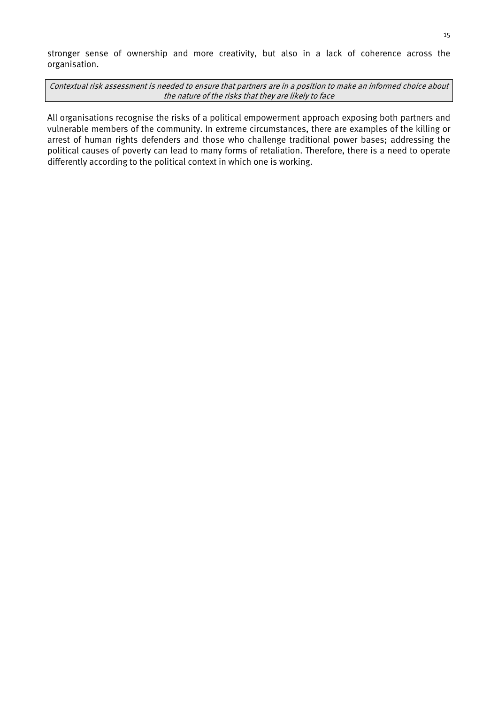stronger sense of ownership and more creativity, but also in a lack of coherence across the organisation.

Contextual risk assessment is needed to ensure that partners are in a position to make an informed choice about the nature of the risks that they are likely to face

All organisations recognise the risks of a political empowerment approach exposing both partners and vulnerable members of the community. In extreme circumstances, there are examples of the killing or arrest of human rights defenders and those who challenge traditional power bases; addressing the political causes of poverty can lead to many forms of retaliation. Therefore, there is a need to operate differently according to the political context in which one is working.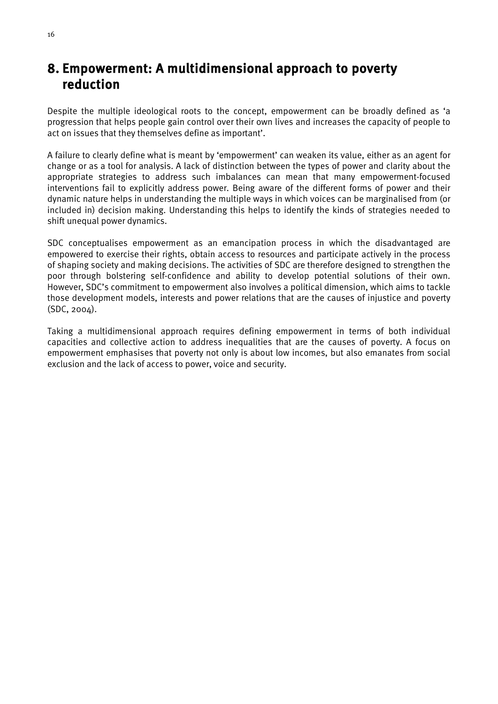### <span id="page-20-0"></span>8. Empowerment: A multidimensional approach to poverty reduction

Despite the multiple ideological roots to the concept, empowerment can be broadly defined as 'a progression that helps people gain control over their own lives and increases the capacity of people to act on issues that they themselves define as important'.

A failure to clearly define what is meant by 'empowerment' can weaken its value, either as an agent for change or as a tool for analysis. A lack of distinction between the types of power and clarity about the appropriate strategies to address such imbalances can mean that many empowerment-focused interventions fail to explicitly address power. Being aware of the different forms of power and their dynamic nature helps in understanding the multiple ways in which voices can be marginalised from (or included in) decision making. Understanding this helps to identify the kinds of strategies needed to shift unequal power dynamics.

SDC conceptualises empowerment as an emancipation process in which the disadvantaged are empowered to exercise their rights, obtain access to resources and participate actively in the process of shaping society and making decisions. The activities of SDC are therefore designed to strengthen the poor through bolstering self-confidence and ability to develop potential solutions of their own. However, SDC's commitment to empowerment also involves a political dimension, which aims to tackle those development models, interests and power relations that are the causes of injustice and poverty (SDC, 2004).

Taking a multidimensional approach requires defining empowerment in terms of both individual capacities and collective action to address inequalities that are the causes of poverty. A focus on empowerment emphasises that poverty not only is about low incomes, but also emanates from social exclusion and the lack of access to power, voice and security.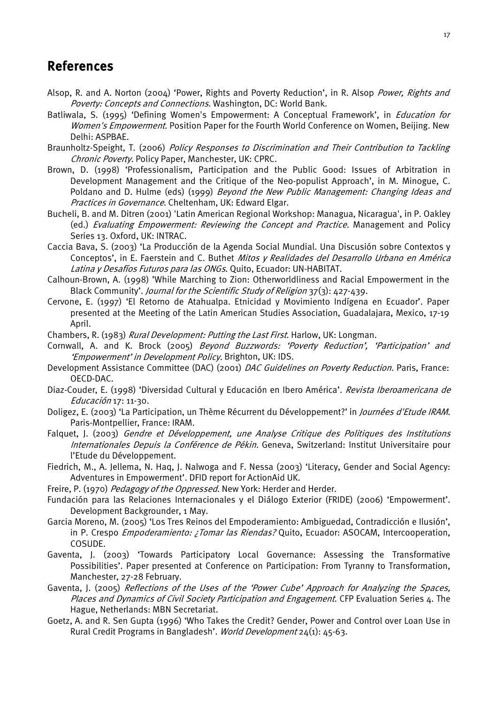### <span id="page-21-0"></span>References

- Alsop, R. and A. Norton (2004) 'Power, Rights and Poverty Reduction', in R. Alsop Power, Rights and Poverty: Concepts and Connections. Washington, DC: World Bank.
- Batliwala, S. (1995) 'Defining Women's Empowerment: A Conceptual Framework', in *Education for* Women's Empowerment. Position Paper for the Fourth World Conference on Women, Beijing. New Delhi: ASPBAE.
- Braunholtz-Speight, T. (2006) Policy Responses to Discrimination and Their Contribution to Tackling Chronic Poverty. Policy Paper, Manchester, UK: CPRC.
- Brown, D. (1998) 'Professionalism, Participation and the Public Good: Issues of Arbitration in Development Management and the Critique of the Neo-populist Approach', in M. Minogue, C. Poldano and D. Hulme (eds) (1999) Beyond the New Public Management: Changing Ideas and Practices in Governance. Cheltenham, UK: Edward Elgar.
- Bucheli, B. and M. Ditren (2001) 'Latin American Regional Workshop: Managua, Nicaragua', in P. Oakley (ed.) Evaluating Empowerment: Reviewing the Concept and Practice. Management and Policy Series 13. Oxford, UK: INTRAC.
- Caccia Bava, S. (2003) 'La Producción de la Agenda Social Mundial. Una Discusión sobre Contextos y Conceptos', in E. Faerstein and C. Buthet Mitos y Realidades del Desarrollo Urbano en América Latina y Desafíos Futuros para las ONGs. Quito, Ecuador: UN-HABITAT.
- Calhoun-Brown, A. (1998) 'While Marching to Zion: Otherworldliness and Racial Empowerment in the Black Community'. Journal for the Scientific Study of Religion 37(3): 427-439.
- Cervone, E. (1997) 'El Retorno de Atahualpa. Etnicidad y Movimiento Indígena en Ecuador'. Paper presented at the Meeting of the Latin American Studies Association, Guadalajara, Mexico, 17-19 April.
- Chambers, R. (1983) *Rural Development: Putting the Last First*. Harlow, UK: Longman.
- Cornwall, A. and K. Brock (2005) Beyond Buzzwords: 'Poverty Reduction', 'Participation' and 'Empowerment' in Development Policy. Brighton, UK: IDS.
- Development Assistance Committee (DAC) (2001) *DAC Guidelines on Poverty Reduction.* Paris, France: OECD-DAC.
- Diaz-Couder, E. (1998) 'Diversidad Cultural y Educación en Ibero América'. Revista Iberoamericana de Educación 17: 11-30.
- Doligez, E. (2003) 'La Participation, un Thème Récurrent du Développement?' in Journées d'Etude IRAM. Paris-Montpellier, France: IRAM.
- Falquet, J. (2003) Gendre et Développement, une Analyse Critique des Politiques des Institutions Internationales Depuis la Conférence de Pékin. Geneva, Switzerland: Institut Universitaire pour l'Etude du Développement.
- Fiedrich, M., A. Jellema, N. Haq, J. Nalwoga and F. Nessa (2003) 'Literacy, Gender and Social Agency: Adventures in Empowerment'. DFID report for ActionAid UK.
- Freire, P. (1970) Pedagogy of the Oppressed. New York: Herder and Herder.
- Fundación para las Relaciones Internacionales y el Diálogo Exterior (FRIDE) (2006) 'Empowerment'. Development Backgrounder, 1 May.
- Garcia Moreno, M. (2005) 'Los Tres Reinos del Empoderamiento: Ambiguedad, Contradicción e Ilusión', in P. Crespo *Empoderamiento: ¿Tomar las Riendas?* Quito, Ecuador: ASOCAM, Intercooperation, COSUDE.
- Gaventa, J. (2003) 'Towards Participatory Local Governance: Assessing the Transformative Possibilities'. Paper presented at Conference on Participation: From Tyranny to Transformation, Manchester, 27-28 February.
- Gaventa, J. (2005) Reflections of the Uses of the 'Power Cube' Approach for Analyzing the Spaces, Places and Dynamics of Civil Society Participation and Engagement. CFP Evaluation Series 4. The Hague, Netherlands: MBN Secretariat.
- Goetz, A. and R. Sen Gupta (1996) 'Who Takes the Credit? Gender, Power and Control over Loan Use in Rural Credit Programs in Bangladesh'. World Development 24(1): 45-63.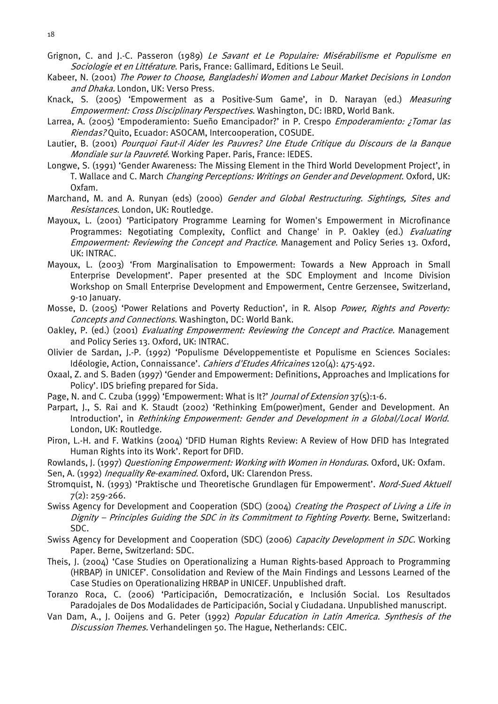- Grignon, C. and J.-C. Passeron (1989) Le Savant et Le Populaire: Misérabilisme et Populisme en Sociologie et en Littérature. Paris, France: Gallimard, Editions Le Seuil.
- Kabeer, N. (2001) The Power to Choose, Bangladeshi Women and Labour Market Decisions in London and Dhaka. London, UK: Verso Press.
- Knack, S. (2005) 'Empowerment as a Positive-Sum Game', in D. Narayan (ed.) Measuring Empowerment: Cross Disciplinary Perspectives. Washington, DC: IBRD, World Bank.
- Larrea, A. (2005) 'Empoderamiento: Sueño Emancipador?' in P. Crespo *Empoderamiento: ; Tomar las* Riendas? Quito, Ecuador: ASOCAM, Intercooperation, COSUDE.
- Lautier, B. (2001) Pourquoi Faut-il Aider les Pauvres? Une Etude Critique du Discours de la Banque Mondiale sur la Pauvreté. Working Paper. Paris, France: IEDES.
- Longwe, S. (1991) 'Gender Awareness: The Missing Element in the Third World Development Project', in T. Wallace and C. March Changing Perceptions: Writings on Gender and Development. Oxford, UK: Oxfam.
- Marchand, M. and A. Runyan (eds) (2000) Gender and Global Restructuring. Sightings, Sites and Resistances. London, UK: Routledge.
- Mayoux, L. (2001) 'Participatory Programme Learning for Women's Empowerment in Microfinance Programmes: Negotiating Complexity, Conflict and Change' in P. Oakley (ed.) Evaluating Empowerment: Reviewing the Concept and Practice. Management and Policy Series 13. Oxford, UK: INTRAC.
- Mayoux, L. (2003) 'From Marginalisation to Empowerment: Towards a New Approach in Small Enterprise Development'. Paper presented at the SDC Employment and Income Division Workshop on Small Enterprise Development and Empowerment, Centre Gerzensee, Switzerland, 9-10 January.
- Mosse, D. (2005) 'Power Relations and Poverty Reduction', in R. Alsop Power, Rights and Poverty: Concepts and Connections. Washington, DC: World Bank.
- Oakley, P. (ed.) (2001) Evaluating Empowerment: Reviewing the Concept and Practice. Management and Policy Series 13. Oxford, UK: INTRAC.
- Olivier de Sardan, J.-P. (1992) 'Populisme Développementiste et Populisme en Sciences Sociales: Idéologie, Action, Connaissance'. Cahiers d'Etudes Africaines 120(4): 475-492.
- Oxaal, Z. and S. Baden (1997) 'Gender and Empowerment: Definitions, Approaches and Implications for Policy'. IDS briefing prepared for Sida.
- Page, N. and C. Czuba (1999) 'Empowerment: What is It?' *Journal of Extension* 37(5):1-6.
- Parpart, J., S. Rai and K. Staudt (2002) 'Rethinking Em(power)ment, Gender and Development. An Introduction', in Rethinking Empowerment: Gender and Development in a Global/Local World. London, UK: Routledge.
- Piron, L.-H. and F. Watkins (2004) 'DFID Human Rights Review: A Review of How DFID has Integrated Human Rights into its Work'. Report for DFID.
- Rowlands, J. (1997) Questioning Empowerment: Working with Women in Honduras. Oxford, UK: Oxfam.
- Sen, A. (1992) *Inequality Re-examined*. Oxford, UK: Clarendon Press.
- Stromquist, N. (1993) 'Praktische und Theoretische Grundlagen für Empowerment'. Nord-Sued Aktuell 7(2): 259-266.
- Swiss Agency for Development and Cooperation (SDC) (2004) Creating the Prospect of Living a Life in Dignity - Principles Guiding the SDC in its Commitment to Fighting Poverty. Berne, Switzerland: SDC.
- Swiss Agency for Development and Cooperation (SDC) (2006) Capacity Development in SDC. Working Paper. Berne, Switzerland: SDC.
- Theis, J. (2004) 'Case Studies on Operationalizing a Human Rights-based Approach to Programming (HRBAP) in UNICEF'. Consolidation and Review of the Main Findings and Lessons Learned of the Case Studies on Operationalizing HRBAP in UNICEF. Unpublished draft.
- Toranzo Roca, C. (2006) 'Participación, Democratización, e Inclusión Social. Los Resultados Paradojales de Dos Modalidades de Participación, Social y Ciudadana. Unpublished manuscript.
- Van Dam, A., J. Ooijens and G. Peter (1992) Popular Education in Latin America. Synthesis of the Discussion Themes. Verhandelingen 50. The Hague, Netherlands: CEIC.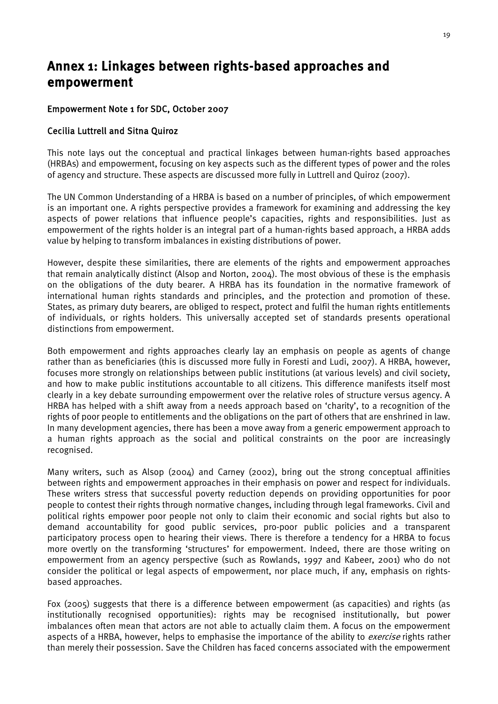### <span id="page-23-0"></span>Annex 1: Linkages between rights-based approaches and empowerment

### Empowerment Note 1 for SDC, October 2007

#### Cecilia Luttrell and Sitna Quiroz

This note lays out the conceptual and practical linkages between human-rights based approaches (HRBAs) and empowerment, focusing on key aspects such as the different types of power and the roles of agency and structure. These aspects are discussed more fully in Luttrell and Quiroz (2007).

The UN Common Understanding of a HRBA is based on a number of principles, of which empowerment is an important one. A rights perspective provides a framework for examining and addressing the key aspects of power relations that influence people's capacities, rights and responsibilities. Just as empowerment of the rights holder is an integral part of a human-rights based approach, a HRBA adds value by helping to transform imbalances in existing distributions of power.

However, despite these similarities, there are elements of the rights and empowerment approaches that remain analytically distinct (Alsop and Norton, 2004). The most obvious of these is the emphasis on the obligations of the duty bearer. A HRBA has its foundation in the normative framework of international human rights standards and principles, and the protection and promotion of these. States, as primary duty bearers, are obliged to respect, protect and fulfil the human rights entitlements of individuals, or rights holders. This universally accepted set of standards presents operational distinctions from empowerment.

Both empowerment and rights approaches clearly lay an emphasis on people as agents of change rather than as beneficiaries (this is discussed more fully in Foresti and Ludi, 2007). A HRBA, however, focuses more strongly on relationships between public institutions (at various levels) and civil society, and how to make public institutions accountable to all citizens. This difference manifests itself most clearly in a key debate surrounding empowerment over the relative roles of structure versus agency. A HRBA has helped with a shift away from a needs approach based on 'charity', to a recognition of the rights of poor people to entitlements and the obligations on the part of others that are enshrined in law. In many development agencies, there has been a move away from a generic empowerment approach to a human rights approach as the social and political constraints on the poor are increasingly recognised.

Many writers, such as Alsop (2004) and Carney (2002), bring out the strong conceptual affinities between rights and empowerment approaches in their emphasis on power and respect for individuals. These writers stress that successful poverty reduction depends on providing opportunities for poor people to contest their rights through normative changes, including through legal frameworks. Civil and political rights empower poor people not only to claim their economic and social rights but also to demand accountability for good public services, pro-poor public policies and a transparent participatory process open to hearing their views. There is therefore a tendency for a HRBA to focus more overtly on the transforming 'structures' for empowerment. Indeed, there are those writing on empowerment from an agency perspective (such as Rowlands, 1997 and Kabeer, 2001) who do not consider the political or legal aspects of empowerment, nor place much, if any, emphasis on rightsbased approaches.

Fox (2005) suggests that there is a difference between empowerment (as capacities) and rights (as institutionally recognised opportunities): rights may be recognised institutionally, but power imbalances often mean that actors are not able to actually claim them. A focus on the empowerment aspects of a HRBA, however, helps to emphasise the importance of the ability to *exercise* rights rather than merely their possession. Save the Children has faced concerns associated with the empowerment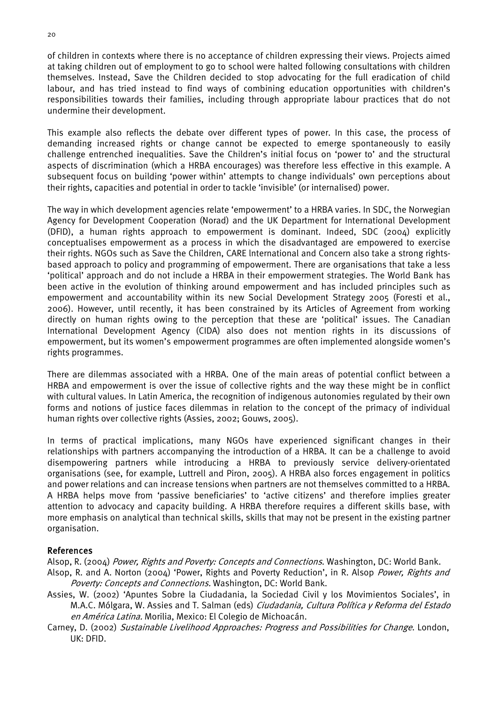of children in contexts where there is no acceptance of children expressing their views. Projects aimed at taking children out of employment to go to school were halted following consultations with children themselves. Instead, Save the Children decided to stop advocating for the full eradication of child labour, and has tried instead to find ways of combining education opportunities with children's responsibilities towards their families, including through appropriate labour practices that do not undermine their development.

This example also reflects the debate over different types of power. In this case, the process of demanding increased rights or change cannot be expected to emerge spontaneously to easily challenge entrenched inequalities. Save the Children's initial focus on 'power to' and the structural aspects of discrimination (which a HRBA encourages) was therefore less effective in this example. A subsequent focus on building 'power within' attempts to change individuals' own perceptions about their rights, capacities and potential in order to tackle 'invisible' (or internalised) power.

The way in which development agencies relate 'empowerment' to a HRBA varies. In SDC, the Norwegian Agency for Development Cooperation (Norad) and the UK Department for International Development (DFID), a human rights approach to empowerment is dominant. Indeed, SDC (2004) explicitly conceptualises empowerment as a process in which the disadvantaged are empowered to exercise their rights. NGOs such as Save the Children, CARE lnternational and Concern also take a strong rightsbased approach to policy and programming of empowerment. There are organisations that take a less 'political' approach and do not include a HRBA in their empowerment strategies. The World Bank has been active in the evolution of thinking around empowerment and has included principles such as empowerment and accountability within its new Social Development Strategy 2005 (Foresti et al., 2006). However, until recently, it has been constrained by its Articles of Agreement from working directly on human rights owing to the perception that these are 'political' issues. The Canadian International Development Agency (CIDA) also does not mention rights in its discussions of empowerment, but its women's empowerment programmes are often implemented alongside women's rights programmes.

There are dilemmas associated with a HRBA. One of the main areas of potential conflict between a HRBA and empowerment is over the issue of collective rights and the way these might be in conflict with cultural values. In Latin America, the recognition of indigenous autonomies regulated by their own forms and notions of justice faces dilemmas in relation to the concept of the primacy of individual human rights over collective rights (Assies, 2002; Gouws, 2005).

In terms of practical implications, many NGOs have experienced significant changes in their relationships with partners accompanying the introduction of a HRBA. It can be a challenge to avoid disempowering partners while introducing a HRBA to previously service delivery-orientated organisations (see, for example, Luttrell and Piron, 2005). A HRBA also forces engagement in politics and power relations and can increase tensions when partners are not themselves committed to a HRBA. A HRBA helps move from 'passive beneficiaries' to 'active citizens' and therefore implies greater attention to advocacy and capacity building. A HRBA therefore requires a different skills base, with more emphasis on analytical than technical skills, skills that may not be present in the existing partner organisation.

#### References

Alsop, R. (2004) Power, Rights and Poverty: Concepts and Connections. Washington, DC: World Bank.

- Alsop, R. and A. Norton (2004) 'Power, Rights and Poverty Reduction', in R. Alsop Power, Rights and Poverty: Concepts and Connections. Washington, DC: World Bank.
- Assies, W. (2002) 'Apuntes Sobre la Ciudadania, la Sociedad Civil y los Movimientos Sociales', in M.A.C. Mólgara, W. Assies and T. Salman (eds) *Ciudadania, Cultura Política y Reforma del Estado* en América Latina. Morilia, Mexico: El Colegio de Michoacán.
- Carney, D. (2002) Sustainable Livelihood Approaches: Progress and Possibilities for Change. London, UK: DFID.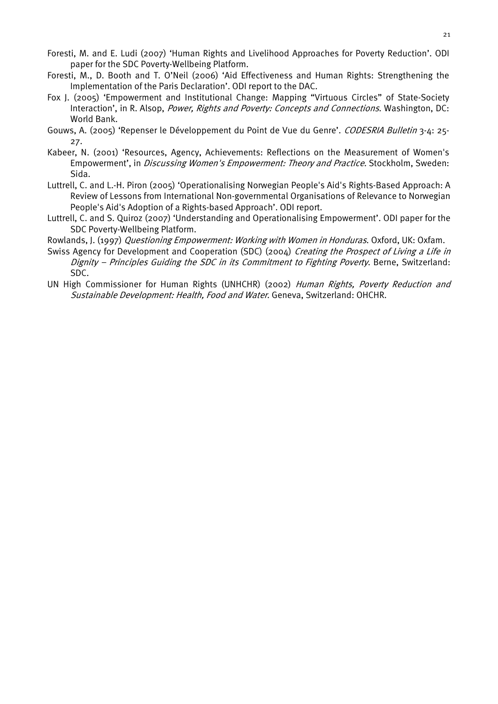- $21$
- Foresti, M. and E. Ludi (2007) 'Human Rights and Livelihood Approaches for Poverty Reduction'. ODI paper for the SDC Poverty-Wellbeing Platform.
- Foresti, M., D. Booth and T. O'Neil (2006) 'Aid Effectiveness and Human Rights: Strengthening the Implementation of the Paris Declaration'. ODI report to the DAC.
- Fox J. (2005) 'Empowerment and Institutional Change: Mapping "Virtuous Circles" of State-Society Interaction', in R. Alsop, Power, Rights and Poverty: Concepts and Connections. Washington, DC: World Bank.
- Gouws, A. (2005) 'Repenser le Développement du Point de Vue du Genre'. CODESRIA Bulletin 3-4: 25-27.
- Kabeer, N. (2001) 'Resources, Agency, Achievements: Reflections on the Measurement of Women's Empowerment', in Discussing Women's Empowerment: Theory and Practice. Stockholm, Sweden: Sida.
- Luttrell, C. and L.-H. Piron (2005) 'Operationalising Norwegian People's Aid's Rights-Based Approach: A Review of Lessons from International Non-governmental Organisations of Relevance to Norwegian People's Aid's Adoption of a Rights-based Approach'. ODI report.
- Luttrell, C. and S. Quiroz (2007) 'Understanding and Operationalising Empowerment'. ODI paper for the SDC Poverty-Wellbeing Platform.
- Rowlands, J. (1997) Questioning Empowerment: Working with Women in Honduras. Oxford, UK: Oxfam.
- Swiss Agency for Development and Cooperation (SDC) (2004) Creating the Prospect of Living a Life in Dignity – Principles Guiding the SDC in its Commitment to Fighting Poverty. Berne, Switzerland: SDC.
- UN High Commissioner for Human Rights (UNHCHR) (2002) Human Rights, Poverty Reduction and Sustainable Development: Health, Food and Water. Geneva, Switzerland: OHCHR.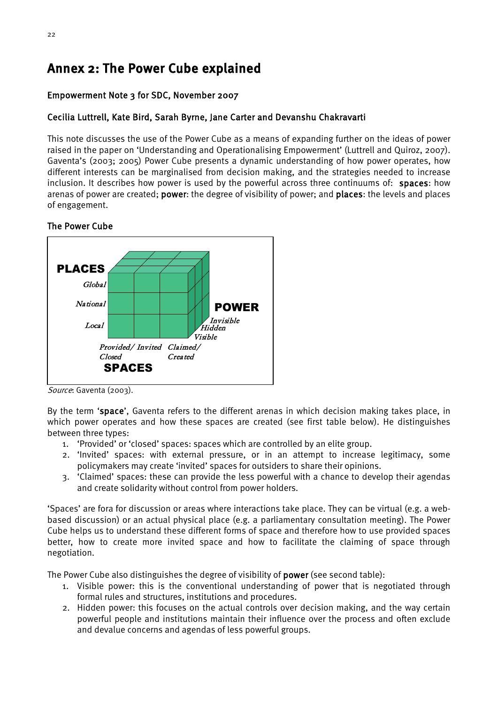### <span id="page-26-0"></span>Annex 2: The Power Cube explained

### Empowerment Note 3 for SDC, November 2007

### Cecilia Luttrell, Kate Bird, Sarah Byrne, Jane Carter and Devanshu Chakravarti

This note discusses the use of the Power Cube as a means of expanding further on the ideas of power raised in the paper on 'Understanding and Operationalising Empowerment' (Luttrell and Quiroz, 2007). Gaventa's (2003; 2005) Power Cube presents a dynamic understanding of how power operates, how different interests can be marginalised from decision making, and the strategies needed to increase inclusion. It describes how power is used by the powerful across three continuums of: spaces: how arenas of power are created; power: the degree of visibility of power; and places: the levels and places of engagement.

### The Power Cube



Source: Gaventa (2003).

By the term 'space', Gaventa refers to the different arenas in which decision making takes place, in which power operates and how these spaces are created (see first table below). He distinguishes between three types:

- 1. 'Provided' or 'closed' spaces: spaces which are controlled by an elite group.
- 2. 'Invited' spaces: with external pressure, or in an attempt to increase legitimacy, some policymakers may create 'invited' spaces for outsiders to share their opinions.
- 3. 'Claimed' spaces: these can provide the less powerful with a chance to develop their agendas and create solidarity without control from power holders.

'Spaces' are fora for discussion or areas where interactions take place. They can be virtual (e.g. a webbased discussion) or an actual physical place (e.g. a parliamentary consultation meeting). The Power Cube helps us to understand these different forms of space and therefore how to use provided spaces better, how to create more invited space and how to facilitate the claiming of space through negotiation.

The Power Cube also distinguishes the degree of visibility of power (see second table):

- 1. Visible power: this is the conventional understanding of power that is negotiated through formal rules and structures, institutions and procedures.
- 2. Hidden power: this focuses on the actual controls over decision making, and the way certain powerful people and institutions maintain their influence over the process and often exclude and devalue concerns and agendas of less powerful groups.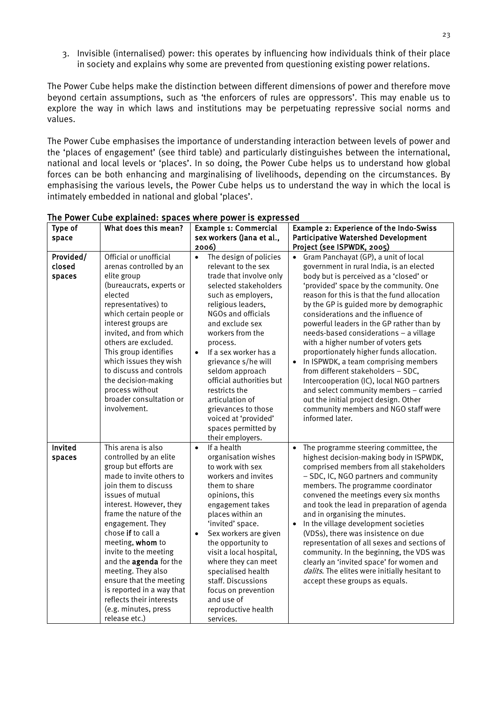3. Invisible (internalised) power: this operates by influencing how individuals think of their place in society and explains why some are prevented from questioning existing power relations.

The Power Cube helps make the distinction between different dimensions of power and therefore move beyond certain assumptions, such as 'the enforcers of rules are oppressors'. This may enable us to explore the way in which laws and institutions may be perpetuating repressive social norms and values.

The Power Cube emphasises the importance of understanding interaction between levels of power and the 'places of engagement' (see third table) and particularly distinguishes between the international, national and local levels or 'places'. In so doing, the Power Cube helps us to understand how global forces can be both enhancing and marginalising of livelihoods, depending on the circumstances. By emphasising the various levels, the Power Cube helps us to understand the way in which the local is intimately embedded in national and global 'places'.

| Type of                       | What does this mean?                                                                                                                                                                                                                                                                                                                                                                                                                                                    | Example 1: Commercial                                                                                                                                                                                                                                                                                                                                                                                                                                                         | Example 2: Experience of the Indo-Swiss                                                                                                                                                                                                                                                                                                                                                                                                                                                                                                                                                                                                                                                                                                                    |  |
|-------------------------------|-------------------------------------------------------------------------------------------------------------------------------------------------------------------------------------------------------------------------------------------------------------------------------------------------------------------------------------------------------------------------------------------------------------------------------------------------------------------------|-------------------------------------------------------------------------------------------------------------------------------------------------------------------------------------------------------------------------------------------------------------------------------------------------------------------------------------------------------------------------------------------------------------------------------------------------------------------------------|------------------------------------------------------------------------------------------------------------------------------------------------------------------------------------------------------------------------------------------------------------------------------------------------------------------------------------------------------------------------------------------------------------------------------------------------------------------------------------------------------------------------------------------------------------------------------------------------------------------------------------------------------------------------------------------------------------------------------------------------------------|--|
| space                         |                                                                                                                                                                                                                                                                                                                                                                                                                                                                         | sex workers (Jana et al.,                                                                                                                                                                                                                                                                                                                                                                                                                                                     | <b>Participative Watershed Development</b>                                                                                                                                                                                                                                                                                                                                                                                                                                                                                                                                                                                                                                                                                                                 |  |
|                               |                                                                                                                                                                                                                                                                                                                                                                                                                                                                         | 2006)                                                                                                                                                                                                                                                                                                                                                                                                                                                                         | Project (see ISPWDK, 2005)                                                                                                                                                                                                                                                                                                                                                                                                                                                                                                                                                                                                                                                                                                                                 |  |
| Provided/<br>closed<br>spaces | Official or unofficial<br>arenas controlled by an<br>elite group<br>(bureaucrats, experts or<br>elected<br>representatives) to<br>which certain people or<br>interest groups are<br>invited, and from which<br>others are excluded.<br>This group identifies<br>which issues they wish<br>to discuss and controls<br>the decision-making<br>process without<br>broader consultation or<br>involvement.                                                                  | $\bullet$<br>The design of policies<br>relevant to the sex<br>trade that involve only<br>selected stakeholders<br>such as employers,<br>religious leaders,<br>NGOs and officials<br>and exclude sex<br>workers from the<br>process.<br>If a sex worker has a<br>$\bullet$<br>grievance s/he will<br>seldom approach<br>official authorities but<br>restricts the<br>articulation of<br>grievances to those<br>voiced at 'provided'<br>spaces permitted by<br>their employers. | • Gram Panchayat (GP), a unit of local<br>government in rural India, is an elected<br>body but is perceived as a 'closed' or<br>'provided' space by the community. One<br>reason for this is that the fund allocation<br>by the GP is guided more by demographic<br>considerations and the influence of<br>powerful leaders in the GP rather than by<br>needs-based considerations - a village<br>with a higher number of voters gets<br>proportionately higher funds allocation.<br>In ISPWDK, a team comprising members<br>from different stakeholders - SDC,<br>Intercooperation (IC), local NGO partners<br>and select community members - carried<br>out the initial project design. Other<br>community members and NGO staff were<br>informed later. |  |
| Invited<br>spaces             | This arena is also<br>controlled by an elite<br>group but efforts are<br>made to invite others to<br>join them to discuss<br>issues of mutual<br>interest. However, they<br>frame the nature of the<br>engagement. They<br>chose if to call a<br>meeting, whom to<br>invite to the meeting<br>and the agenda for the<br>meeting. They also<br>ensure that the meeting<br>is reported in a way that<br>reflects their interests<br>(e.g. minutes, press<br>release etc.) | If a health<br>$\bullet$<br>organisation wishes<br>to work with sex<br>workers and invites<br>them to share<br>opinions, this<br>engagement takes<br>places within an<br>'invited' space.<br>Sex workers are given<br>$\bullet$<br>the opportunity to<br>visit a local hospital,<br>where they can meet<br>specialised health<br>staff. Discussions<br>focus on prevention<br>and use of<br>reproductive health<br>services.                                                  | The programme steering committee, the<br>highest decision-making body in ISPWDK,<br>comprised members from all stakeholders<br>- SDC, IC, NGO partners and community<br>members. The programme coordinator<br>convened the meetings every six months<br>and took the lead in preparation of agenda<br>and in organising the minutes.<br>In the village development societies<br>(VDSs), there was insistence on due<br>representation of all sexes and sections of<br>community. In the beginning, the VDS was<br>clearly an 'invited space' for women and<br>dalits. The elites were initially hesitant to<br>accept these groups as equals.                                                                                                              |  |

The Power Cube explained: spaces where power is expressed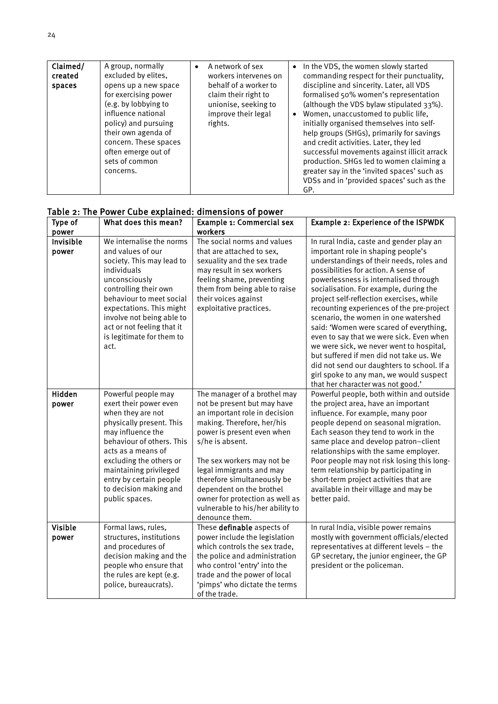| Claimed/<br>created<br>spaces | A group, normally<br>excluded by elites,<br>opens up a new space<br>for exercising power<br>(e.g. by lobbying to<br>influence national<br>policy) and pursuing<br>their own agenda of<br>concern. These spaces<br>often emerge out of<br>sets of common<br>concerns. | $\bullet$ | A network of sex<br>workers intervenes on<br>behalf of a worker to<br>claim their right to<br>unionise, seeking to<br>improve their legal<br>rights. |  | • In the VDS, the women slowly started<br>commanding respect for their punctuality,<br>discipline and sincerity. Later, all VDS<br>formalised 50% women's representation<br>(although the VDS bylaw stipulated 33%).<br>Women, unaccustomed to public life,<br>initially organised themselves into self-<br>help groups (SHGs), primarily for savings<br>and credit activities. Later, they led<br>successful movements against illicit arrack<br>production. SHGs led to women claiming a<br>greater say in the 'invited spaces' such as<br>VDSs and in 'provided spaces' such as the<br>GP. |
|-------------------------------|----------------------------------------------------------------------------------------------------------------------------------------------------------------------------------------------------------------------------------------------------------------------|-----------|------------------------------------------------------------------------------------------------------------------------------------------------------|--|-----------------------------------------------------------------------------------------------------------------------------------------------------------------------------------------------------------------------------------------------------------------------------------------------------------------------------------------------------------------------------------------------------------------------------------------------------------------------------------------------------------------------------------------------------------------------------------------------|
|-------------------------------|----------------------------------------------------------------------------------------------------------------------------------------------------------------------------------------------------------------------------------------------------------------------|-----------|------------------------------------------------------------------------------------------------------------------------------------------------------|--|-----------------------------------------------------------------------------------------------------------------------------------------------------------------------------------------------------------------------------------------------------------------------------------------------------------------------------------------------------------------------------------------------------------------------------------------------------------------------------------------------------------------------------------------------------------------------------------------------|

|  |  | Table 2: The Power Cube explained: dimensions of power |  |
|--|--|--------------------------------------------------------|--|
|  |  |                                                        |  |

| Type of                 | What does this mean?                                                                                                                                                                                                                                                                               | <b>Example 1: Commercial sex</b>                                                                                                                                                                                                                                                                                                                                                          | Example 2: Experience of the ISPWDK                                                                                                                                                                                                                                                                                                                                                                                                                                                                                                                                                                                                                                                                |
|-------------------------|----------------------------------------------------------------------------------------------------------------------------------------------------------------------------------------------------------------------------------------------------------------------------------------------------|-------------------------------------------------------------------------------------------------------------------------------------------------------------------------------------------------------------------------------------------------------------------------------------------------------------------------------------------------------------------------------------------|----------------------------------------------------------------------------------------------------------------------------------------------------------------------------------------------------------------------------------------------------------------------------------------------------------------------------------------------------------------------------------------------------------------------------------------------------------------------------------------------------------------------------------------------------------------------------------------------------------------------------------------------------------------------------------------------------|
| power                   |                                                                                                                                                                                                                                                                                                    | workers                                                                                                                                                                                                                                                                                                                                                                                   |                                                                                                                                                                                                                                                                                                                                                                                                                                                                                                                                                                                                                                                                                                    |
| Invisible<br>power      | We internalise the norms<br>and values of our<br>society. This may lead to<br>individuals<br>unconsciously<br>controlling their own<br>behaviour to meet social<br>expectations. This might<br>involve not being able to<br>act or not feeling that it<br>is legitimate for them to<br>act.        | The social norms and values<br>that are attached to sex,<br>sexuality and the sex trade<br>may result in sex workers<br>feeling shame, preventing<br>them from being able to raise<br>their voices against<br>exploitative practices.                                                                                                                                                     | In rural India, caste and gender play an<br>important role in shaping people's<br>understandings of their needs, roles and<br>possibilities for action. A sense of<br>powerlessness is internalised through<br>socialisation. For example, during the<br>project self-reflection exercises, while<br>recounting experiences of the pre-project<br>scenario, the women in one watershed<br>said: 'Women were scared of everything,<br>even to say that we were sick. Even when<br>we were sick, we never went to hospital,<br>but suffered if men did not take us. We<br>did not send our daughters to school. If a<br>girl spoke to any man, we would suspect<br>that her character was not good.' |
| Hidden<br>power         | Powerful people may<br>exert their power even<br>when they are not<br>physically present. This<br>may influence the<br>behaviour of others. This<br>acts as a means of<br>excluding the others or<br>maintaining privileged<br>entry by certain people<br>to decision making and<br>public spaces. | The manager of a brothel may<br>not be present but may have<br>an important role in decision<br>making. Therefore, her/his<br>power is present even when<br>s/he is absent.<br>The sex workers may not be<br>legal immigrants and may<br>therefore simultaneously be<br>dependent on the brothel<br>owner for protection as well as<br>vulnerable to his/her ability to<br>denounce them. | Powerful people, both within and outside<br>the project area, have an important<br>influence. For example, many poor<br>people depend on seasonal migration.<br>Each season they tend to work in the<br>same place and develop patron-client<br>relationships with the same employer.<br>Poor people may not risk losing this long-<br>term relationship by participating in<br>short-term project activities that are<br>available in their village and may be<br>better paid.                                                                                                                                                                                                                    |
| <b>Visible</b><br>power | Formal laws, rules,<br>structures, institutions<br>and procedures of<br>decision making and the<br>people who ensure that<br>the rules are kept (e.g.<br>police, bureaucrats).                                                                                                                     | These definable aspects of<br>power include the legislation<br>which controls the sex trade,<br>the police and administration<br>who control 'entry' into the<br>trade and the power of local<br>'pimps' who dictate the terms<br>of the trade.                                                                                                                                           | In rural India, visible power remains<br>mostly with government officials/elected<br>representatives at different levels - the<br>GP secretary, the junior engineer, the GP<br>president or the policeman.                                                                                                                                                                                                                                                                                                                                                                                                                                                                                         |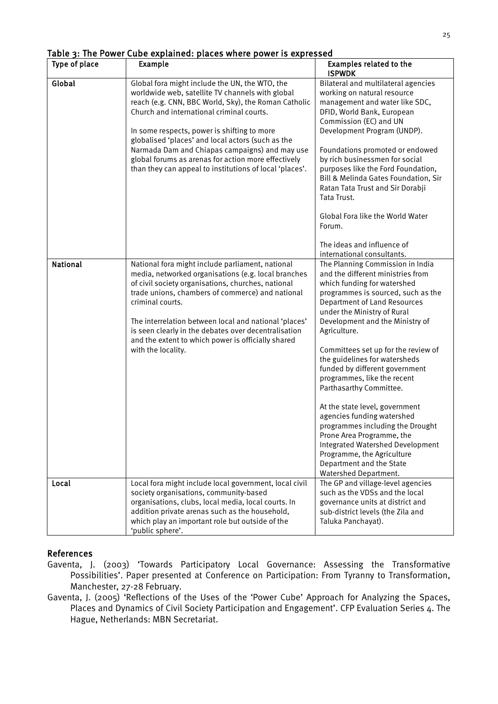| Type of place   | Example                                                                                                                                                                                                                                                                                                                                                                                                                            | <b>Examples related to the</b><br><b>ISPWDK</b>                                                                                                                                                                                                                                                                                                                                                                                                                                                                                                                          |
|-----------------|------------------------------------------------------------------------------------------------------------------------------------------------------------------------------------------------------------------------------------------------------------------------------------------------------------------------------------------------------------------------------------------------------------------------------------|--------------------------------------------------------------------------------------------------------------------------------------------------------------------------------------------------------------------------------------------------------------------------------------------------------------------------------------------------------------------------------------------------------------------------------------------------------------------------------------------------------------------------------------------------------------------------|
| Global          | Global fora might include the UN, the WTO, the<br>worldwide web, satellite TV channels with global<br>reach (e.g. CNN, BBC World, Sky), the Roman Catholic<br>Church and international criminal courts.<br>In some respects, power is shifting to more<br>globalised 'places' and local actors (such as the<br>Narmada Dam and Chiapas campaigns) and may use                                                                      | Bilateral and multilateral agencies<br>working on natural resource<br>management and water like SDC,<br>DFID, World Bank, European<br>Commission (EC) and UN<br>Development Program (UNDP).<br>Foundations promoted or endowed                                                                                                                                                                                                                                                                                                                                           |
|                 | global forums as arenas for action more effectively<br>than they can appeal to institutions of local 'places'.                                                                                                                                                                                                                                                                                                                     | by rich businessmen for social<br>purposes like the Ford Foundation,<br>Bill & Melinda Gates Foundation, Sir<br>Ratan Tata Trust and Sir Dorabji<br>Tata Trust.                                                                                                                                                                                                                                                                                                                                                                                                          |
|                 |                                                                                                                                                                                                                                                                                                                                                                                                                                    | Global Fora like the World Water<br>Forum.                                                                                                                                                                                                                                                                                                                                                                                                                                                                                                                               |
|                 |                                                                                                                                                                                                                                                                                                                                                                                                                                    | The ideas and influence of<br>international consultants.                                                                                                                                                                                                                                                                                                                                                                                                                                                                                                                 |
| <b>National</b> | National fora might include parliament, national<br>media, networked organisations (e.g. local branches<br>of civil society organisations, churches, national<br>trade unions, chambers of commerce) and national<br>criminal courts.<br>The interrelation between local and national 'places'<br>is seen clearly in the debates over decentralisation<br>and the extent to which power is officially shared<br>with the locality. | The Planning Commission in India<br>and the different ministries from<br>which funding for watershed<br>programmes is sourced, such as the<br><b>Department of Land Resources</b><br>under the Ministry of Rural<br>Development and the Ministry of<br>Agriculture.<br>Committees set up for the review of<br>the guidelines for watersheds<br>funded by different government<br>programmes, like the recent<br>Parthasarthy Committee.<br>At the state level, government<br>agencies funding watershed<br>programmes including the Drought<br>Prone Area Programme, the |
|                 |                                                                                                                                                                                                                                                                                                                                                                                                                                    | Integrated Watershed Development<br>Programme, the Agriculture<br>Department and the State<br>Watershed Department.                                                                                                                                                                                                                                                                                                                                                                                                                                                      |
| Local           | Local fora might include local government, local civil<br>society organisations, community-based<br>organisations, clubs, local media, local courts. In<br>addition private arenas such as the household,<br>which play an important role but outside of the<br>'public sphere'.                                                                                                                                                   | The GP and village-level agencies<br>such as the VDSs and the local<br>governance units at district and<br>sub-district levels (the Zila and<br>Taluka Panchayat).                                                                                                                                                                                                                                                                                                                                                                                                       |

### Table 3: The Power Cube explained: places where power is expressed

#### References

- Gaventa, J. (2003) 'Towards Participatory Local Governance: Assessing the Transformative Possibilities'. Paper presented at Conference on Participation: From Tyranny to Transformation, Manchester, 27-28 February.
- Gaventa, J. (2005) 'Reflections of the Uses of the 'Power Cube' Approach for Analyzing the Spaces, Places and Dynamics of Civil Society Participation and Engagement'. CFP Evaluation Series 4. The Hague, Netherlands: MBN Secretariat.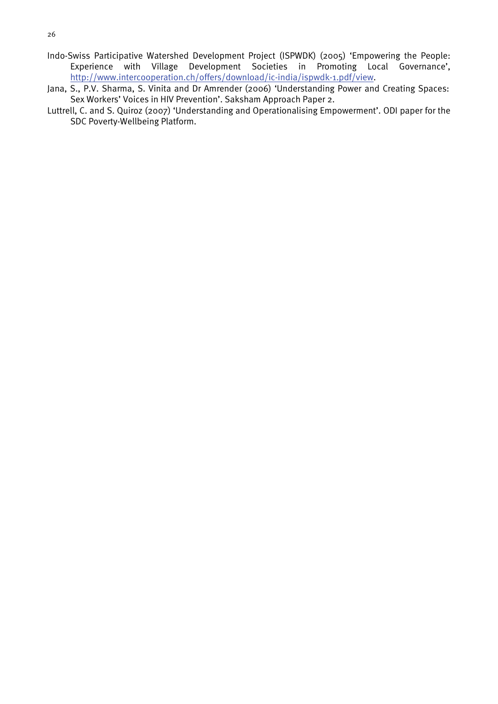- Indo-Swiss Participative Watershed Development Project (ISPWDK) (2005) 'Empowering the People: Experience with Village Development Societies in Promoting Local Governance', [http://www.intercooperation.ch/offers/download/ic-india/ispwdk-1.pdf/view.](http://www.intercooperation.ch/offers/download/ic-india/ispwdk-1.pdf/view)
- Jana, S., P.V. Sharma, S. Vinita and Dr Amrender (2006) 'Understanding Power and Creating Spaces: Sex Workers' Voices in HIV Prevention'. Saksham Approach Paper 2.
- Luttrell, C. and S. Quiroz (2007) 'Understanding and Operationalising Empowerment'. ODI paper for the SDC Poverty-Wellbeing Platform.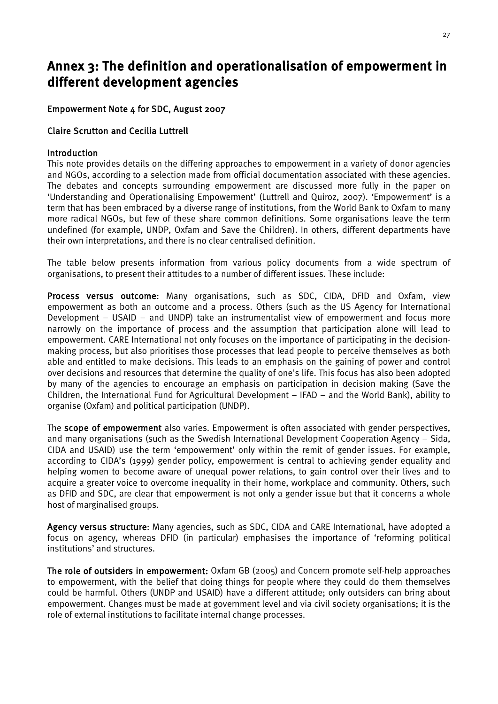### <span id="page-31-0"></span>Annex 3: The definition and operationalisation of empowerment in different development agencies

#### Empowerment Note 4 for SDC, August 2007

#### Claire Scrutton and Cecilia Luttrell

#### Introduction

This note provides details on the differing approaches to empowerment in a variety of donor agencies and NGOs, according to a selection made from official documentation associated with these agencies. The debates and concepts surrounding empowerment are discussed more fully in the paper on 'Understanding and Operationalising Empowerment' (Luttrell and Quiroz, 2007). 'Empowerment' is a term that has been embraced by a diverse range of institutions, from the World Bank to Oxfam to many more radical NGOs, but few of these share common definitions. Some organisations leave the term undefined (for example, UNDP, Oxfam and Save the Children). In others, different departments have their own interpretations, and there is no clear centralised definition.

The table below presents information from various policy documents from a wide spectrum of organisations, to present their attitudes to a number of different issues. These include:

Process versus outcome: Many organisations, such as SDC, CIDA, DFID and Oxfam, view empowerment as both an outcome and a process. Others (such as the US Agency for International Development – USAID – and UNDP) take an instrumentalist view of empowerment and focus more narrowly on the importance of process and the assumption that participation alone will lead to empowerment. CARE International not only focuses on the importance of participating in the decisionmaking process, but also prioritises those processes that lead people to perceive themselves as both able and entitled to make decisions. This leads to an emphasis on the gaining of power and control over decisions and resources that determine the quality of one's life. This focus has also been adopted by many of the agencies to encourage an emphasis on participation in decision making (Save the Children, the International Fund for Agricultural Development – IFAD – and the World Bank), ability to organise (Oxfam) and political participation (UNDP).

The scope of empowerment also varies. Empowerment is often associated with gender perspectives, and many organisations (such as the Swedish International Development Cooperation Agency – Sida, CIDA and USAID) use the term 'empowerment' only within the remit of gender issues. For example, according to CIDA's (1999) gender policy, empowerment is central to achieving gender equality and helping women to become aware of unequal power relations, to gain control over their lives and to acquire a greater voice to overcome inequality in their home, workplace and community. Others, such as DFID and SDC, are clear that empowerment is not only a gender issue but that it concerns a whole host of marginalised groups.

Agency versus structure: Many agencies, such as SDC, CIDA and CARE International, have adopted a focus on agency, whereas DFID (in particular) emphasises the importance of 'reforming political institutions' and structures.

The role of outsiders in empowerment: Oxfam GB (2005) and Concern promote self-help approaches to empowerment, with the belief that doing things for people where they could do them themselves could be harmful. Others (UNDP and USAID) have a different attitude; only outsiders can bring about empowerment. Changes must be made at government level and via civil society organisations; it is the role of external institutions to facilitate internal change processes.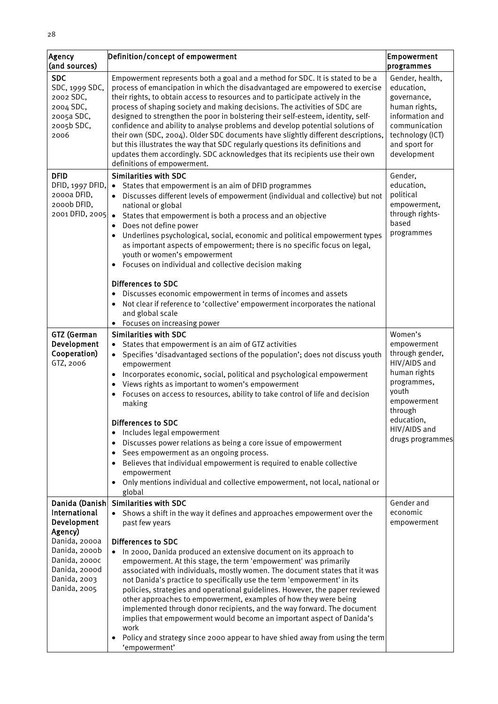28

| Agency<br>(and sources)                                                                          | Definition/concept of empowerment                                                                                                                                                                                                                                                                                                                                                                                                                                                                                                                                                                                                                                                                                                                                                      | Empowerment<br>programmes                                                                                                                             |
|--------------------------------------------------------------------------------------------------|----------------------------------------------------------------------------------------------------------------------------------------------------------------------------------------------------------------------------------------------------------------------------------------------------------------------------------------------------------------------------------------------------------------------------------------------------------------------------------------------------------------------------------------------------------------------------------------------------------------------------------------------------------------------------------------------------------------------------------------------------------------------------------------|-------------------------------------------------------------------------------------------------------------------------------------------------------|
| <b>SDC</b><br>SDC, 1999 SDC,<br>2002 SDC,<br>2004 SDC,<br>2005a SDC,<br>2005b SDC,<br>2006       | Empowerment represents both a goal and a method for SDC. It is stated to be a<br>process of emancipation in which the disadvantaged are empowered to exercise<br>their rights, to obtain access to resources and to participate actively in the<br>process of shaping society and making decisions. The activities of SDC are<br>designed to strengthen the poor in bolstering their self-esteem, identity, self-<br>confidence and ability to analyse problems and develop potential solutions of<br>their own (SDC, 2004). Older SDC documents have slightly different descriptions,<br>but this illustrates the way that SDC regularly questions its definitions and<br>updates them accordingly. SDC acknowledges that its recipients use their own<br>definitions of empowerment. | Gender, health,<br>education,<br>governance,<br>human rights,<br>information and<br>communication<br>technology (ICT)<br>and sport for<br>development |
| <b>DFID</b><br>DFID, 1997 DFID,<br>2000a DFID,<br>2000b DFID,<br>2001 DFID, 2005                 | <b>Similarities with SDC</b><br>States that empowerment is an aim of DFID programmes<br>$\bullet$<br>Discusses different levels of empowerment (individual and collective) but not<br>national or global<br>States that empowerment is both a process and an objective<br>$\bullet$<br>Does not define power<br>$\bullet$<br>Underlines psychological, social, economic and political empowerment types<br>as important aspects of empowerment; there is no specific focus on legal,<br>youth or women's empowerment<br>Focuses on individual and collective decision making<br>$\bullet$                                                                                                                                                                                              | Gender,<br>education,<br>political<br>empowerment,<br>through rights-<br>based<br>programmes                                                          |
|                                                                                                  | <b>Differences to SDC</b><br>Discusses economic empowerment in terms of incomes and assets<br>$\bullet$<br>Not clear if reference to 'collective' empowerment incorporates the national<br>$\bullet$<br>and global scale<br>Focuses on increasing power<br>$\bullet$                                                                                                                                                                                                                                                                                                                                                                                                                                                                                                                   |                                                                                                                                                       |
| GTZ (German<br>Development<br>Cooperation)<br>GTZ, 2006                                          | <b>Similarities with SDC</b><br>States that empowerment is an aim of GTZ activities<br>$\bullet$<br>Specifies 'disadvantaged sections of the population'; does not discuss youth<br>$\bullet$<br>empowerment<br>Incorporates economic, social, political and psychological empowerment<br>$\bullet$<br>Views rights as important to women's empowerment<br>Focuses on access to resources, ability to take control of life and decision<br>$\bullet$<br>making                                                                                                                                                                                                                                                                                                                         | Women's<br>empowerment<br>through gender,<br>HIV/AIDS and<br>human rights<br>programmes,<br>youth<br>empowerment<br>through                           |
|                                                                                                  | Differences to SDC<br>Includes legal empowerment<br>Discusses power relations as being a core issue of empowerment<br>Sees empowerment as an ongoing process.<br>Believes that individual empowerment is required to enable collective<br>empowerment<br>Only mentions individual and collective empowerment, not local, national or<br>global                                                                                                                                                                                                                                                                                                                                                                                                                                         | education,<br>HIV/AIDS and<br>drugs programmes                                                                                                        |
| Danida (Danish<br>International<br>Development<br>Agency)                                        | <b>Similarities with SDC</b><br>Shows a shift in the way it defines and approaches empowerment over the<br>$\bullet$<br>past few years                                                                                                                                                                                                                                                                                                                                                                                                                                                                                                                                                                                                                                                 | Gender and<br>economic<br>empowerment                                                                                                                 |
| Danida, 2000a<br>Danida, 2000b<br>Danida, 2000c<br>Danida, 2000d<br>Danida, 2003<br>Danida, 2005 | <b>Differences to SDC</b><br>In 2000, Danida produced an extensive document on its approach to<br>empowerment. At this stage, the term 'empowerment' was primarily<br>associated with individuals, mostly women. The document states that it was<br>not Danida's practice to specifically use the term 'empowerment' in its<br>policies, strategies and operational guidelines. However, the paper reviewed<br>other approaches to empowerment, examples of how they were being<br>implemented through donor recipients, and the way forward. The document<br>implies that empowerment would become an important aspect of Danida's<br>work<br>Policy and strategy since 2000 appear to have shied away from using the term<br>'empowerment'                                           |                                                                                                                                                       |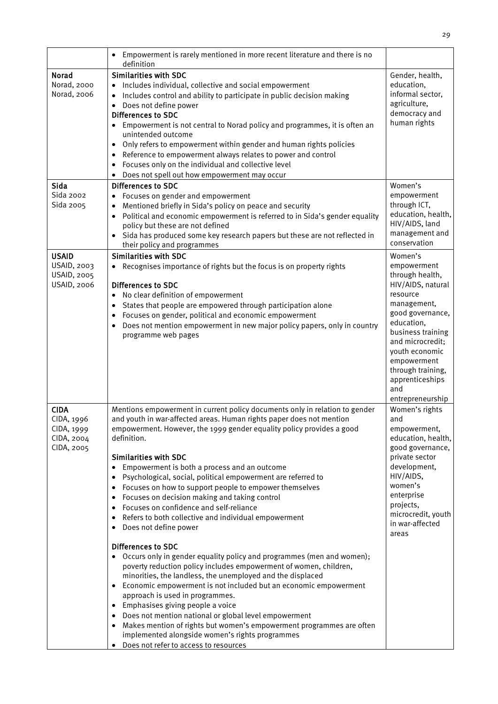|                                                                     | Empowerment is rarely mentioned in more recent literature and there is no<br>definition                                                                                                                                                                                                                                                                                                                                                                                                                                                                                                                                                                                                                                                                                                                                                                                                                                                                                                                                                                                                                                                                                                                                                                   |                                                                                                                                                                                                                                                                          |
|---------------------------------------------------------------------|-----------------------------------------------------------------------------------------------------------------------------------------------------------------------------------------------------------------------------------------------------------------------------------------------------------------------------------------------------------------------------------------------------------------------------------------------------------------------------------------------------------------------------------------------------------------------------------------------------------------------------------------------------------------------------------------------------------------------------------------------------------------------------------------------------------------------------------------------------------------------------------------------------------------------------------------------------------------------------------------------------------------------------------------------------------------------------------------------------------------------------------------------------------------------------------------------------------------------------------------------------------|--------------------------------------------------------------------------------------------------------------------------------------------------------------------------------------------------------------------------------------------------------------------------|
| Norad<br>Norad, 2000<br>Norad, 2006                                 | <b>Similarities with SDC</b><br>Includes individual, collective and social empowerment<br>Includes control and ability to participate in public decision making<br>Does not define power<br>$\bullet$<br><b>Differences to SDC</b><br>• Empowerment is not central to Norad policy and programmes, it is often an<br>unintended outcome<br>Only refers to empowerment within gender and human rights policies<br>$\bullet$<br>Reference to empowerment always relates to power and control<br>$\bullet$<br>Focuses only on the individual and collective level<br>$\bullet$<br>Does not spell out how empowerment may occur                                                                                                                                                                                                                                                                                                                                                                                                                                                                                                                                                                                                                               | Gender, health,<br>education,<br>informal sector,<br>agriculture,<br>democracy and<br>human rights                                                                                                                                                                       |
| Sida<br>Sida 2002<br>Sida 2005                                      | <b>Differences to SDC</b><br>Focuses on gender and empowerment<br>$\bullet$<br>Mentioned briefly in Sida's policy on peace and security<br>Political and economic empowerment is referred to in Sida's gender equality<br>policy but these are not defined<br>Sida has produced some key research papers but these are not reflected in<br>their policy and programmes                                                                                                                                                                                                                                                                                                                                                                                                                                                                                                                                                                                                                                                                                                                                                                                                                                                                                    | Women's<br>empowerment<br>through ICT,<br>education, health,<br>HIV/AIDS, land<br>management and<br>conservation                                                                                                                                                         |
| <b>USAID</b><br>USAID, 2003<br>USAID, 2005<br><b>USAID, 2006</b>    | <b>Similarities with SDC</b><br>Recognises importance of rights but the focus is on property rights<br><b>Differences to SDC</b><br>No clear definition of empowerment<br>$\bullet$<br>States that people are empowered through participation alone<br>Focuses on gender, political and economic empowerment<br>Does not mention empowerment in new major policy papers, only in country<br>programme web pages                                                                                                                                                                                                                                                                                                                                                                                                                                                                                                                                                                                                                                                                                                                                                                                                                                           | Women's<br>empowerment<br>through health,<br>HIV/AIDS, natural<br>resource<br>management,<br>good governance,<br>education,<br>business training<br>and microcredit;<br>youth economic<br>empowerment<br>through training,<br>apprenticeships<br>and<br>entrepreneurship |
| <b>CIDA</b><br>CIDA, 1996<br>CIDA, 1999<br>CIDA, 2004<br>CIDA, 2005 | Mentions empowerment in current policy documents only in relation to gender<br>and youth in war-affected areas. Human rights paper does not mention<br>empowerment. However, the 1999 gender equality policy provides a good<br>definition.<br><b>Similarities with SDC</b><br>Empowerment is both a process and an outcome<br>Psychological, social, political empowerment are referred to<br>Focuses on how to support people to empower themselves<br>Focuses on decision making and taking control<br>Focuses on confidence and self-reliance<br>Refers to both collective and individual empowerment<br>Does not define power<br><b>Differences to SDC</b><br>• Occurs only in gender equality policy and programmes (men and women);<br>poverty reduction policy includes empowerment of women, children,<br>minorities, the landless, the unemployed and the displaced<br>Economic empowerment is not included but an economic empowerment<br>approach is used in programmes.<br>• Emphasises giving people a voice<br>• Does not mention national or global level empowerment<br>Makes mention of rights but women's empowerment programmes are often<br>implemented alongside women's rights programmes<br>Does not refer to access to resources | Women's rights<br>and<br>empowerment,<br>education, health,<br>good governance,<br>private sector<br>development,<br>HIV/AIDS,<br>women's<br>enterprise<br>projects,<br>microcredit, youth<br>in war-affected<br>areas                                                   |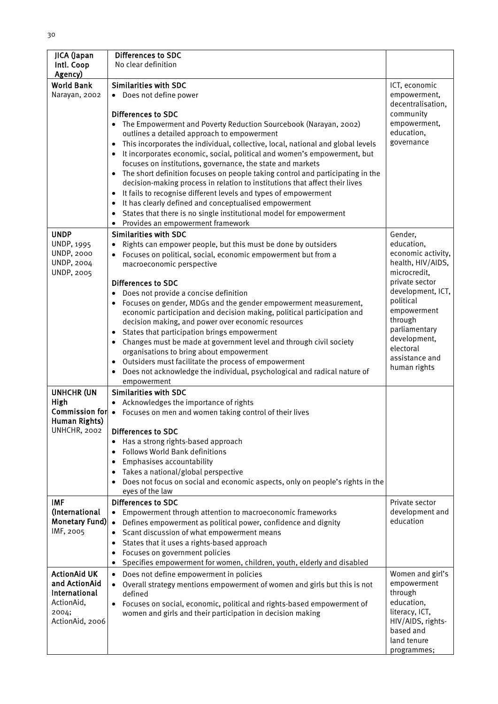| JICA (Japan<br>Intl. Coop<br>Agency)                                                            | <b>Differences to SDC</b><br>No clear definition                                                                                                                                                                                                                                                                                                                                                                                                                                                                                                                                                                                                                                                                                                                                                                                          |                                                                                                                                                                                                                                                |
|-------------------------------------------------------------------------------------------------|-------------------------------------------------------------------------------------------------------------------------------------------------------------------------------------------------------------------------------------------------------------------------------------------------------------------------------------------------------------------------------------------------------------------------------------------------------------------------------------------------------------------------------------------------------------------------------------------------------------------------------------------------------------------------------------------------------------------------------------------------------------------------------------------------------------------------------------------|------------------------------------------------------------------------------------------------------------------------------------------------------------------------------------------------------------------------------------------------|
| <b>World Bank</b><br>Narayan, 2002                                                              | <b>Similarities with SDC</b><br>• Does not define power<br>Differences to SDC<br>• The Empowerment and Poverty Reduction Sourcebook (Narayan, 2002)<br>outlines a detailed approach to empowerment<br>This incorporates the individual, collective, local, national and global levels<br>$\bullet$<br>It incorporates economic, social, political and women's empowerment, but<br>focuses on institutions, governance, the state and markets<br>The short definition focuses on people taking control and participating in the<br>decision-making process in relation to institutions that affect their lives<br>It fails to recognise different levels and types of empowerment<br>$\bullet$<br>It has clearly defined and conceptualised empowerment<br>$\bullet$<br>States that there is no single institutional model for empowerment | ICT, economic<br>empowerment,<br>decentralisation,<br>community<br>empowerment,<br>education,<br>governance                                                                                                                                    |
| <b>UNDP</b><br><b>UNDP, 1995</b><br><b>UNDP, 2000</b><br><b>UNDP, 2004</b><br><b>UNDP, 2005</b> | Provides an empowerment framework<br><b>Similarities with SDC</b><br>Rights can empower people, but this must be done by outsiders<br>Focuses on political, social, economic empowerment but from a<br>macroeconomic perspective<br>Differences to SDC<br>• Does not provide a concise definition<br>• Focuses on gender, MDGs and the gender empowerment measurement,<br>economic participation and decision making, political participation and<br>decision making, and power over economic resources<br>• States that participation brings empowerment<br>• Changes must be made at government level and through civil society<br>organisations to bring about empowerment<br>• Outsiders must facilitate the process of empowerment<br>Does not acknowledge the individual, psychological and radical nature of<br>empowerment        | Gender,<br>education,<br>economic activity,<br>health, HIV/AIDS,<br>microcredit,<br>private sector<br>development, ICT,<br>political<br>empowerment<br>through<br>parliamentary<br>development,<br>electoral<br>assistance and<br>human rights |
| <b>UNHCHR (UN</b><br>High<br>Human Rights)<br>UNHCHR, 2002                                      | <b>Similarities with SDC</b><br>• Acknowledges the importance of rights<br>Commission for • Focuses on men and women taking control of their lives<br><b>Differences to SDC</b><br>Has a strong rights-based approach<br><b>Follows World Bank definitions</b><br>$\bullet$<br>Emphasises accountability<br>$\bullet$<br>Takes a national/global perspective<br>Does not focus on social and economic aspects, only on people's rights in the<br>eyes of the law                                                                                                                                                                                                                                                                                                                                                                          |                                                                                                                                                                                                                                                |
| <b>IMF</b><br>(International<br><b>Monetary Fund)</b><br>IMF, 2005                              | <b>Differences to SDC</b><br>Empowerment through attention to macroeconomic frameworks<br>$\bullet$<br>Defines empowerment as political power, confidence and dignity<br>$\bullet$<br>Scant discussion of what empowerment means<br>$\bullet$<br>States that it uses a rights-based approach<br>$\bullet$<br>Focuses on government policies<br>$\bullet$<br>Specifies empowerment for women, children, youth, elderly and disabled                                                                                                                                                                                                                                                                                                                                                                                                        | Private sector<br>development and<br>education                                                                                                                                                                                                 |
| <b>ActionAid UK</b><br>and ActionAid<br>International<br>ActionAid,<br>2004;<br>ActionAid, 2006 | • Does not define empowerment in policies<br>Overall strategy mentions empowerment of women and girls but this is not<br>$\bullet$<br>defined<br>Focuses on social, economic, political and rights-based empowerment of<br>women and girls and their participation in decision making                                                                                                                                                                                                                                                                                                                                                                                                                                                                                                                                                     | Women and girl's<br>empowerment<br>through<br>education,<br>literacy, ICT,<br>HIV/AIDS, rights-<br>based and<br>land tenure<br>programmes;                                                                                                     |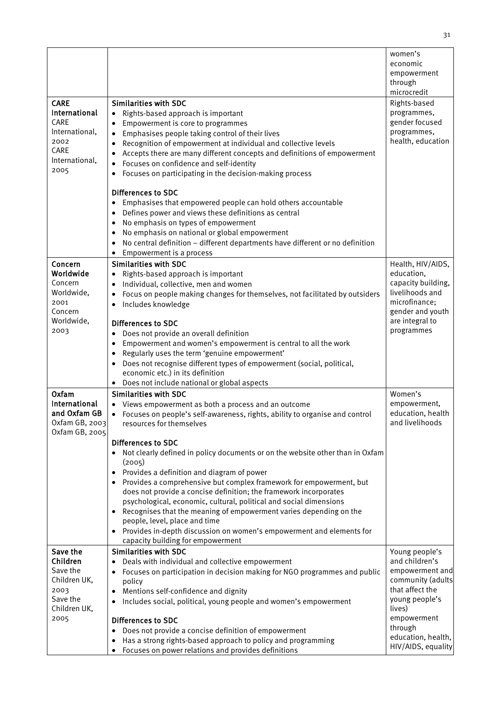|                      |                                                                                                                                           | women's                           |
|----------------------|-------------------------------------------------------------------------------------------------------------------------------------------|-----------------------------------|
|                      |                                                                                                                                           | economic                          |
|                      |                                                                                                                                           | empowerment                       |
|                      |                                                                                                                                           | through                           |
|                      |                                                                                                                                           | microcredit                       |
| <b>CARE</b>          | <b>Similarities with SDC</b>                                                                                                              | Rights-based                      |
| International        | Rights-based approach is important<br>$\bullet$                                                                                           | programmes,                       |
| CARE                 | Empowerment is core to programmes<br>$\bullet$                                                                                            | gender focused                    |
| International,       | Emphasises people taking control of their lives<br>$\bullet$                                                                              | programmes,                       |
| 2002                 | Recognition of empowerment at individual and collective levels<br>$\bullet$                                                               | health, education                 |
| CARE                 | Accepts there are many different concepts and definitions of empowerment                                                                  |                                   |
| International,       | Focuses on confidence and self-identity<br>$\bullet$                                                                                      |                                   |
| 2005                 | Focuses on participating in the decision-making process                                                                                   |                                   |
|                      |                                                                                                                                           |                                   |
|                      | <b>Differences to SDC</b>                                                                                                                 |                                   |
|                      | Emphasises that empowered people can hold others accountable<br>$\bullet$                                                                 |                                   |
|                      | Defines power and views these definitions as central<br>$\bullet$                                                                         |                                   |
|                      | No emphasis on types of empowerment<br>$\bullet$                                                                                          |                                   |
|                      | No emphasis on national or global empowerment<br>$\bullet$                                                                                |                                   |
|                      | No central definition - different departments have different or no definition<br>$\bullet$                                                |                                   |
|                      | Empowerment is a process<br>$\bullet$                                                                                                     |                                   |
| Concern              | <b>Similarities with SDC</b>                                                                                                              | Health, HIV/AIDS,                 |
| Worldwide            | Rights-based approach is important<br>$\bullet$                                                                                           | education,                        |
| Concern              | Individual, collective, men and women<br>$\bullet$                                                                                        | capacity building,                |
| Worldwide,           | Focus on people making changes for themselves, not facilitated by outsiders<br>$\bullet$                                                  | livelihoods and                   |
| 2001<br>Concern      | Includes knowledge                                                                                                                        | microfinance;<br>gender and youth |
| Worldwide,           |                                                                                                                                           | are integral to                   |
| 2003                 | <b>Differences to SDC</b>                                                                                                                 | programmes                        |
|                      | Does not provide an overall definition<br>$\bullet$                                                                                       |                                   |
|                      | Empowerment and women's empowerment is central to all the work<br>$\bullet$<br>Regularly uses the term 'genuine empowerment'<br>$\bullet$ |                                   |
|                      | Does not recognise different types of empowerment (social, political,<br>$\bullet$                                                        |                                   |
|                      | economic etc.) in its definition                                                                                                          |                                   |
|                      | Does not include national or global aspects                                                                                               |                                   |
| <b>Oxfam</b>         | <b>Similarities with SDC</b>                                                                                                              | Women's                           |
| International        | Views empowerment as both a process and an outcome                                                                                        | empowerment,                      |
| and Oxfam GB         | Focuses on people's self-awareness, rights, ability to organise and control<br>$\bullet$                                                  | education, health                 |
| Oxfam GB, 2003       | resources for themselves                                                                                                                  | and livelihoods                   |
| Oxfam GB, 2005       |                                                                                                                                           |                                   |
|                      | <b>Differences to SDC</b>                                                                                                                 |                                   |
|                      | Not clearly defined in policy documents or on the website other than in Oxfam                                                             |                                   |
|                      | (2005)                                                                                                                                    |                                   |
|                      | Provides a definition and diagram of power                                                                                                |                                   |
|                      | Provides a comprehensive but complex framework for empowerment, but                                                                       |                                   |
|                      | does not provide a concise definition; the framework incorporates                                                                         |                                   |
|                      | psychological, economic, cultural, political and social dimensions                                                                        |                                   |
|                      | Recognises that the meaning of empowerment varies depending on the<br>$\bullet$                                                           |                                   |
|                      | people, level, place and time                                                                                                             |                                   |
|                      | Provides in-depth discussion on women's empowerment and elements for                                                                      |                                   |
|                      | capacity building for empowerment                                                                                                         |                                   |
| Save the<br>Children | <b>Similarities with SDC</b>                                                                                                              | Young people's<br>and children's  |
| Save the             | Deals with individual and collective empowerment<br>Focuses on participation in decision making for NGO programmes and public             | empowerment and                   |
| Children UK,         | policy                                                                                                                                    | community (adults                 |
| 2003                 | Mentions self-confidence and dignity                                                                                                      | that affect the                   |
| Save the             | Includes social, political, young people and women's empowerment                                                                          | young people's                    |
| Children UK,         |                                                                                                                                           | lives)                            |
| 2005                 | <b>Differences to SDC</b>                                                                                                                 | empowerment                       |
|                      | Does not provide a concise definition of empowerment                                                                                      | through                           |
|                      | Has a strong rights-based approach to policy and programming                                                                              | education, health,                |
|                      | Focuses on power relations and provides definitions                                                                                       | HIV/AIDS, equality                |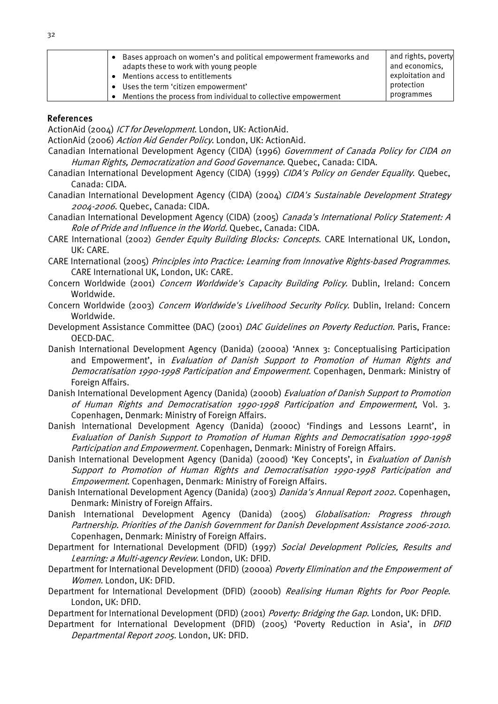| Bases approach on women's and political empowerment frameworks and<br>adapts these to work with young people<br>Mentions access to entitlements<br>Uses the term 'citizen empowerment' | and rights, poverty<br>and economics,<br>exploitation and<br>protection |
|----------------------------------------------------------------------------------------------------------------------------------------------------------------------------------------|-------------------------------------------------------------------------|
| Mentions the process from individual to collective empowerment                                                                                                                         | programmes                                                              |

#### References

ActionAid (2004) ICT for Development. London, UK: ActionAid.

ActionAid (2006) Action Aid Gender Policy. London, UK: ActionAid.

- Canadian International Development Agency (CIDA) (1996) Government of Canada Policy for CIDA on Human Rights, Democratization and Good Governance. Quebec, Canada: CIDA.
- Canadian International Development Agency (CIDA) (1999) CIDA's Policy on Gender Equality. Quebec, Canada: CIDA.
- Canadian International Development Agency (CIDA) (2004) CIDA's Sustainable Development Strategy 2004-2006. Quebec, Canada: CIDA.
- Canadian International Development Agency (CIDA) (2005) Canada's International Policy Statement: A Role of Pride and Influence in the World. Quebec, Canada: CIDA.
- CARE International (2002) Gender Equity Building Blocks: Concepts. CARE International UK, London, UK: CARE.
- CARE International (2005) Principles into Practice: Learning from Innovative Rights-based Programmes. CARE International UK, London, UK: CARE.
- Concern Worldwide (2001) Concern Worldwide's Capacity Building Policy. Dublin, Ireland: Concern Worldwide.
- Concern Worldwide (2003) Concern Worldwide's Livelihood Security Policy. Dublin, Ireland: Concern Worldwide.
- Development Assistance Committee (DAC) (2001) DAC Guidelines on Poverty Reduction. Paris, France: OECD-DAC.
- Danish International Development Agency (Danida) (2000a) 'Annex 3: Conceptualising Participation and Empowerment', in Evaluation of Danish Support to Promotion of Human Rights and Democratisation 1990-1998 Participation and Empowerment. Copenhagen, Denmark: Ministry of Foreign Affairs.
- Danish International Development Agency (Danida) (2000b) Evaluation of Danish Support to Promotion of Human Rights and Democratisation 1990-1998 Participation and Empowerment, Vol. 3. Copenhagen, Denmark: Ministry of Foreign Affairs.
- Danish International Development Agency (Danida) (2000c) 'Findings and Lessons Learnt', in Evaluation of Danish Support to Promotion of Human Rights and Democratisation 1990-1998 Participation and Empowerment. Copenhagen, Denmark: Ministry of Foreign Affairs.
- Danish International Development Agency (Danida) (2000d) 'Key Concepts', in *Evaluation of Danish* Support to Promotion of Human Rights and Democratisation 1990-1998 Participation and Empowerment. Copenhagen, Denmark: Ministry of Foreign Affairs.
- Danish International Development Agency (Danida) (2003) *Danida's Annual Report 2002*. Copenhagen, Denmark: Ministry of Foreign Affairs.
- Danish International Development Agency (Danida) (2005) Globalisation: Progress through Partnership. Priorities of the Danish Government for Danish Development Assistance 2006-2010. Copenhagen, Denmark: Ministry of Foreign Affairs.
- Department for International Development (DFID) (1997) Social Development Policies, Results and Learning: a Multi-agency Review. London, UK: DFID.
- Department for International Development (DFID) (2000a) Poverty Elimination and the Empowerment of Women. London, UK: DFID.
- Department for International Development (DFID) (2000b) Realising Human Rights for Poor People. London, UK: DFID.

Department for International Development (DFID) (2001) Poverty: Bridging the Gap. London, UK: DFID.

Department for International Development (DFID) (2005) 'Poverty Reduction in Asia', in *DFID* Departmental Report 2005. London, UK: DFID.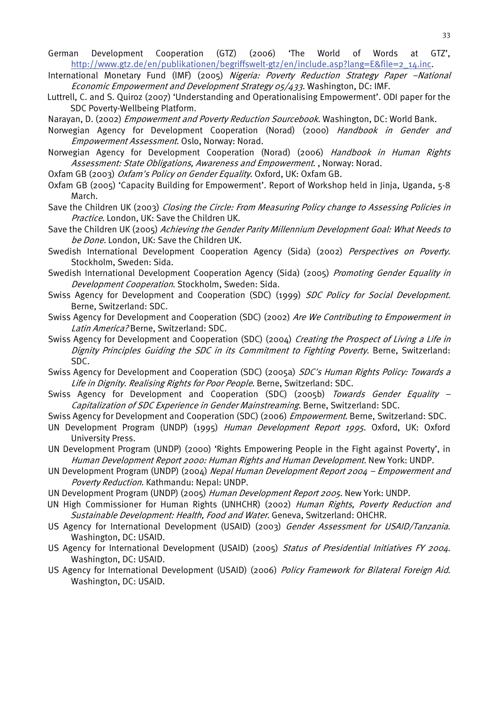- German Development Cooperation (GTZ) (2006) 'The World of Words at GTZ', [http://www.gtz.de/en/publikationen/begriffswelt-gtz/en/include.asp?lang=E&file=2\\_14.inc.](http://www.gtz.de/en/publikationen/begriffswelt-gtz/en/include.asp?lang=E&file=2_14.inc)
- International Monetary Fund (IMF) (2005) Nigeria: Poverty Reduction Strategy Paper -National Economic Empowerment and Development Strategy 05/433. Washington, DC: IMF.
- Luttrell, C. and S. Quiroz (2007) 'Understanding and Operationalising Empowerment'. ODI paper for the SDC Poverty-Wellbeing Platform.
- Narayan, D. (2002) *Empowerment and Poverty Reduction Sourcebook*. Washington, DC: World Bank.
- Norwegian Agency for Development Cooperation (Norad) (2000) Handbook in Gender and Empowerment Assessment. Oslo, Norway: Norad.
- Norwegian Agency for Development Cooperation (Norad) (2006) Handbook in Human Rights Assessment: State Obligations, Awareness and Empowerment., Norway: Norad.
- Oxfam GB (2003) Oxfam's Policy on Gender Equality. Oxford, UK: Oxfam GB.
- Oxfam GB (2005) 'Capacity Building for Empowerment'. Report of Workshop held in Jinja, Uganda, 5-8 March.
- Save the Children UK (2003) Closing the Circle: From Measuring Policy change to Assessing Policies in Practice. London, UK: Save the Children UK.
- Save the Children UK (2005) Achieving the Gender Parity Millennium Development Goal: What Needs to be Done. London, UK: Save the Children UK.
- Swedish International Development Cooperation Agency (Sida) (2002) Perspectives on Poverty. Stockholm, Sweden: Sida.
- Swedish International Development Cooperation Agency (Sida) (2005) Promoting Gender Equality in Development Cooperation. Stockholm, Sweden: Sida.
- Swiss Agency for Development and Cooperation (SDC) (1999) SDC Policy for Social Development. Berne, Switzerland: SDC.
- Swiss Agency for Development and Cooperation (SDC) (2002) Are We Contributing to Empowerment in Latin America? Berne, Switzerland: SDC.
- Swiss Agency for Development and Cooperation (SDC) (2004) Creating the Prospect of Living a Life in Dignity Principles Guiding the SDC in its Commitment to Fighting Poverty. Berne, Switzerland: SDC.
- Swiss Agency for Development and Cooperation (SDC) (2005a) SDC's Human Rights Policy: Towards a Life in Dignity. Realising Rights for Poor People. Berne, Switzerland: SDC.
- Swiss Agency for Development and Cooperation (SDC) (2005b) Towards Gender Equality -Capitalization of SDC Experience in Gender Mainstreaming. Berne, Switzerland: SDC.
- Swiss Agency for Development and Cooperation (SDC) (2006) *Empowerment*. Berne, Switzerland: SDC.
- UN Development Program (UNDP) (1995) Human Development Report 1995. Oxford, UK: Oxford University Press.
- UN Development Program (UNDP) (2000) 'Rights Empowering People in the Fight against Poverty', in Human Development Report 2000: Human Rights and Human Development. New York: UNDP.
- UN Development Program (UNDP) (2004) Nepal Human Development Report 2004 Empowerment and Poverty Reduction. Kathmandu: Nepal: UNDP.
- UN Development Program (UNDP) (2005) Human Development Report 2005. New York: UNDP.
- UN High Commissioner for Human Rights (UNHCHR) (2002) Human Rights, Poverty Reduction and Sustainable Development: Health, Food and Water. Geneva, Switzerland: OHCHR.
- US Agency for International Development (USAID) (2003) Gender Assessment for USAID/Tanzania. Washington, DC: USAID.
- US Agency for International Development (USAID) (2005) Status of Presidential Initiatives FY 2004. Washington, DC: USAID.
- US Agency for International Development (USAID) (2006) Policy Framework for Bilateral Foreign Aid. Washington, DC: USAID.